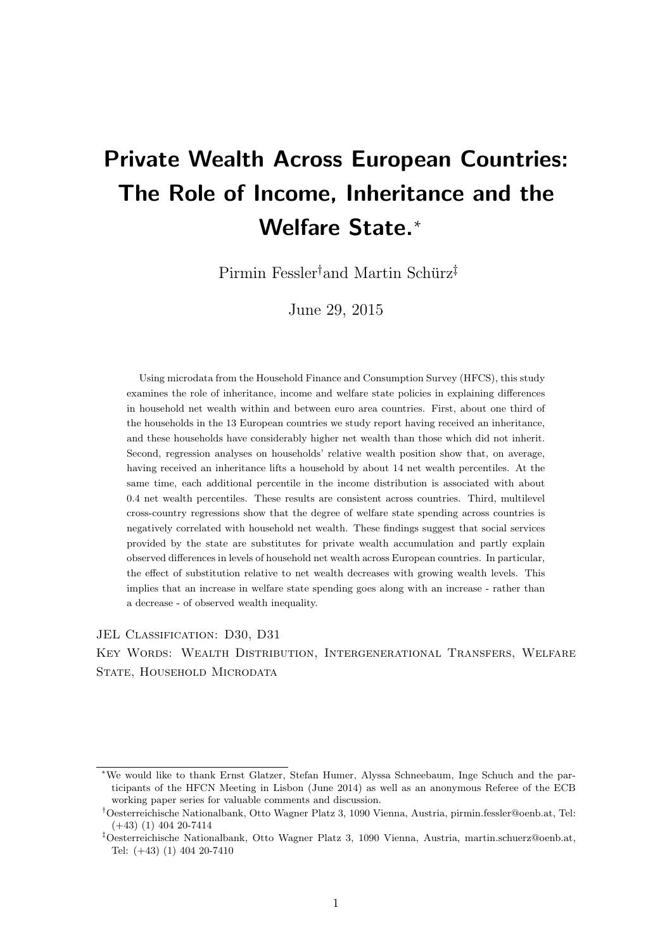# Private Wealth Across European Countries: The Role of Income, Inheritance and the Welfare State.<sup>\*</sup>

 $Pirmin$  Fessler<sup>†</sup> and Martin Schürz<sup>‡</sup>

June 29, 2015

Using microdata from the Household Finance and Consumption Survey (HFCS), this study examines the role of inheritance, income and welfare state policies in explaining differences in household net wealth within and between euro area countries. First, about one third of the households in the 13 European countries we study report having received an inheritance, and these households have considerably higher net wealth than those which did not inherit. Second, regression analyses on households' relative wealth position show that, on average, having received an inheritance lifts a household by about 14 net wealth percentiles. At the same time, each additional percentile in the income distribution is associated with about 0.4 net wealth percentiles. These results are consistent across countries. Third, multilevel cross-country regressions show that the degree of welfare state spending across countries is negatively correlated with household net wealth. These findings suggest that social services provided by the state are substitutes for private wealth accumulation and partly explain observed differences in levels of household net wealth across European countries. In particular, the effect of substitution relative to net wealth decreases with growing wealth levels. This implies that an increase in welfare state spending goes along with an increase - rather than a decrease - of observed wealth inequality.

JEL CLASSIFICATION: D30, D31

Key Words: Wealth Distribution, Intergenerational Transfers, Welfare STATE, HOUSEHOLD MICRODATA

<sup>∗</sup>We would like to thank Ernst Glatzer, Stefan Humer, Alyssa Schneebaum, Inge Schuch and the participants of the HFCN Meeting in Lisbon (June 2014) as well as an anonymous Referee of the ECB working paper series for valuable comments and discussion.

Oesterreichische Nationalbank, Otto Wagner Platz 3, 1090 Vienna, Austria, pirmin.fessler@oenb.at, Tel: (+43) (1) 404 20-7414

Oesterreichische Nationalbank, Otto Wagner Platz 3, 1090 Vienna, Austria, martin.schuerz@oenb.at, Tel: (+43) (1) 404 20-7410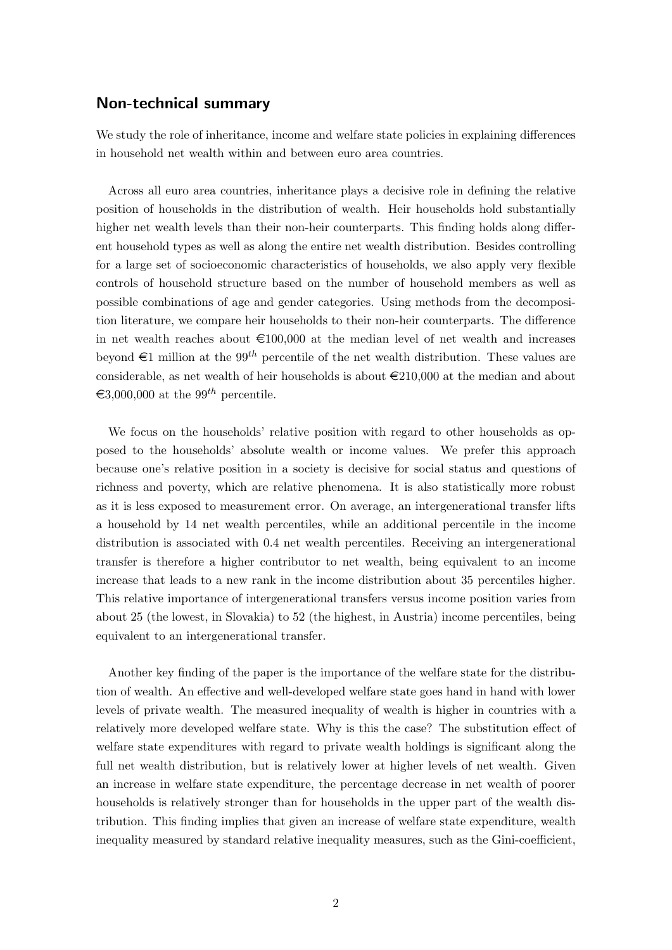## Non-technical summary

We study the role of inheritance, income and welfare state policies in explaining differences in household net wealth within and between euro area countries.

Across all euro area countries, inheritance plays a decisive role in defining the relative position of households in the distribution of wealth. Heir households hold substantially higher net wealth levels than their non-heir counterparts. This finding holds along different household types as well as along the entire net wealth distribution. Besides controlling for a large set of socioeconomic characteristics of households, we also apply very flexible controls of household structure based on the number of household members as well as possible combinations of age and gender categories. Using methods from the decomposition literature, we compare heir households to their non-heir counterparts. The difference in net wealth reaches about  $\epsilon$ 100,000 at the median level of net wealth and increases beyond  $\in$ 1 million at the 99<sup>th</sup> percentile of the net wealth distribution. These values are considerable, as net wealth of heir households is about  $\epsilon$ 210,000 at the median and about  $\epsilon$ 3,000,000 at the 99<sup>th</sup> percentile.

We focus on the households' relative position with regard to other households as opposed to the households' absolute wealth or income values. We prefer this approach because one's relative position in a society is decisive for social status and questions of richness and poverty, which are relative phenomena. It is also statistically more robust as it is less exposed to measurement error. On average, an intergenerational transfer lifts a household by 14 net wealth percentiles, while an additional percentile in the income distribution is associated with 0.4 net wealth percentiles. Receiving an intergenerational transfer is therefore a higher contributor to net wealth, being equivalent to an income increase that leads to a new rank in the income distribution about 35 percentiles higher. This relative importance of intergenerational transfers versus income position varies from about 25 (the lowest, in Slovakia) to 52 (the highest, in Austria) income percentiles, being equivalent to an intergenerational transfer.

Another key finding of the paper is the importance of the welfare state for the distribution of wealth. An effective and well-developed welfare state goes hand in hand with lower levels of private wealth. The measured inequality of wealth is higher in countries with a relatively more developed welfare state. Why is this the case? The substitution effect of welfare state expenditures with regard to private wealth holdings is significant along the full net wealth distribution, but is relatively lower at higher levels of net wealth. Given an increase in welfare state expenditure, the percentage decrease in net wealth of poorer households is relatively stronger than for households in the upper part of the wealth distribution. This finding implies that given an increase of welfare state expenditure, wealth inequality measured by standard relative inequality measures, such as the Gini-coefficient,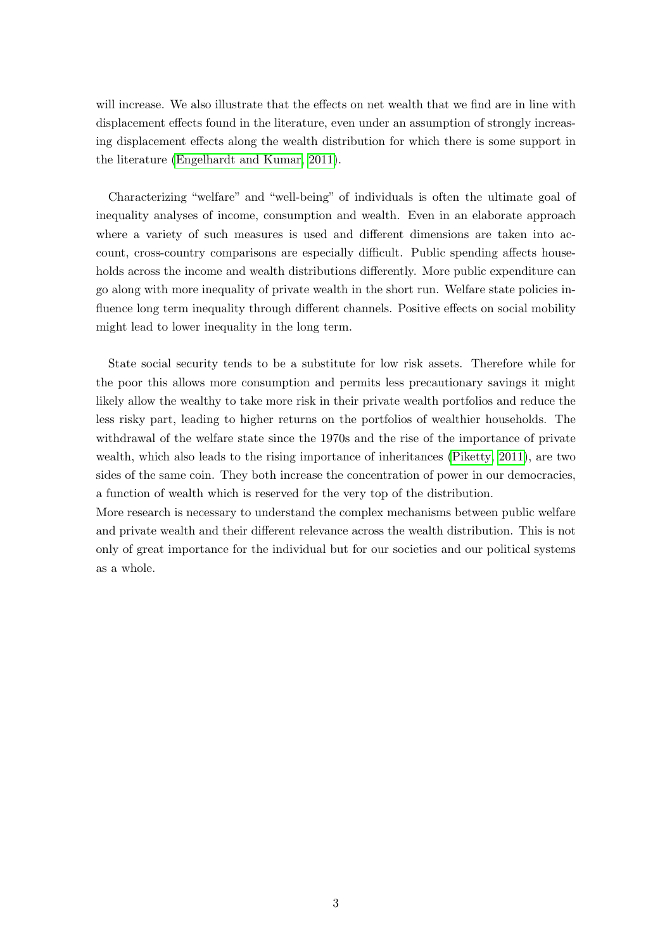will increase. We also illustrate that the effects on net wealth that we find are in line with displacement effects found in the literature, even under an assumption of strongly increasing displacement effects along the wealth distribution for which there is some support in the literature [\(Engelhardt and Kumar, 2011\)](#page-31-0).

Characterizing "welfare" and "well-being" of individuals is often the ultimate goal of inequality analyses of income, consumption and wealth. Even in an elaborate approach where a variety of such measures is used and different dimensions are taken into account, cross-country comparisons are especially difficult. Public spending affects households across the income and wealth distributions differently. More public expenditure can go along with more inequality of private wealth in the short run. Welfare state policies influence long term inequality through different channels. Positive effects on social mobility might lead to lower inequality in the long term.

State social security tends to be a substitute for low risk assets. Therefore while for the poor this allows more consumption and permits less precautionary savings it might likely allow the wealthy to take more risk in their private wealth portfolios and reduce the less risky part, leading to higher returns on the portfolios of wealthier households. The withdrawal of the welfare state since the 1970s and the rise of the importance of private wealth, which also leads to the rising importance of inheritances [\(Piketty, 2011\)](#page-32-0), are two sides of the same coin. They both increase the concentration of power in our democracies, a function of wealth which is reserved for the very top of the distribution.

More research is necessary to understand the complex mechanisms between public welfare and private wealth and their different relevance across the wealth distribution. This is not only of great importance for the individual but for our societies and our political systems as a whole.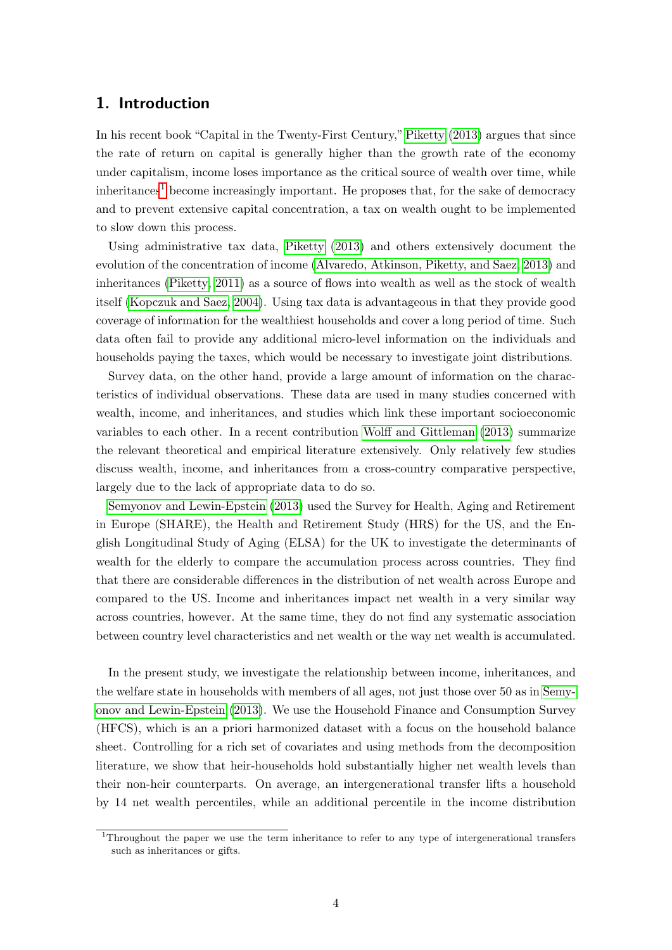## 1. Introduction

In his recent book "Capital in the Twenty-First Century," [Piketty](#page-32-1) [\(2013\)](#page-32-1) argues that since the rate of return on capital is generally higher than the growth rate of the economy under capitalism, income loses importance as the critical source of wealth over time, while  $inheritances<sup>1</sup>$  $inheritances<sup>1</sup>$  $inheritances<sup>1</sup>$  become increasingly important. He proposes that, for the sake of democracy and to prevent extensive capital concentration, a tax on wealth ought to be implemented to slow down this process.

Using administrative tax data, [Piketty](#page-32-1) [\(2013\)](#page-32-1) and others extensively document the evolution of the concentration of income [\(Alvaredo, Atkinson, Piketty, and Saez, 2013\)](#page-31-1) and inheritances [\(Piketty, 2011\)](#page-32-0) as a source of flows into wealth as well as the stock of wealth itself [\(Kopczuk and Saez, 2004\)](#page-32-2). Using tax data is advantageous in that they provide good coverage of information for the wealthiest households and cover a long period of time. Such data often fail to provide any additional micro-level information on the individuals and households paying the taxes, which would be necessary to investigate joint distributions.

Survey data, on the other hand, provide a large amount of information on the characteristics of individual observations. These data are used in many studies concerned with wealth, income, and inheritances, and studies which link these important socioeconomic variables to each other. In a recent contribution [Wolff and Gittleman](#page-32-3) [\(2013\)](#page-32-3) summarize the relevant theoretical and empirical literature extensively. Only relatively few studies discuss wealth, income, and inheritances from a cross-country comparative perspective, largely due to the lack of appropriate data to do so.

[Semyonov and Lewin-Epstein](#page-32-4) [\(2013\)](#page-32-4) used the Survey for Health, Aging and Retirement in Europe (SHARE), the Health and Retirement Study (HRS) for the US, and the English Longitudinal Study of Aging (ELSA) for the UK to investigate the determinants of wealth for the elderly to compare the accumulation process across countries. They find that there are considerable differences in the distribution of net wealth across Europe and compared to the US. Income and inheritances impact net wealth in a very similar way across countries, however. At the same time, they do not find any systematic association between country level characteristics and net wealth or the way net wealth is accumulated.

In the present study, we investigate the relationship between income, inheritances, and the welfare state in households with members of all ages, not just those over 50 as in [Semy](#page-32-4)[onov and Lewin-Epstein](#page-32-4) [\(2013\)](#page-32-4). We use the Household Finance and Consumption Survey (HFCS), which is an a priori harmonized dataset with a focus on the household balance sheet. Controlling for a rich set of covariates and using methods from the decomposition literature, we show that heir-households hold substantially higher net wealth levels than their non-heir counterparts. On average, an intergenerational transfer lifts a household by 14 net wealth percentiles, while an additional percentile in the income distribution

<span id="page-3-0"></span><sup>1</sup>Throughout the paper we use the term inheritance to refer to any type of intergenerational transfers such as inheritances or gifts.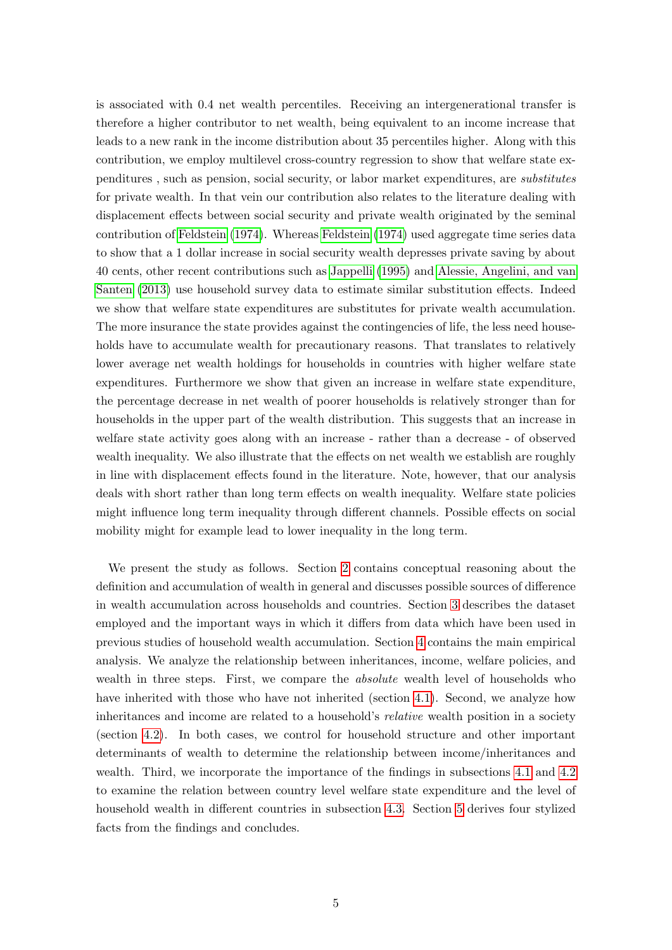is associated with 0.4 net wealth percentiles. Receiving an intergenerational transfer is therefore a higher contributor to net wealth, being equivalent to an income increase that leads to a new rank in the income distribution about 35 percentiles higher. Along with this contribution, we employ multilevel cross-country regression to show that welfare state expenditures , such as pension, social security, or labor market expenditures, are substitutes for private wealth. In that vein our contribution also relates to the literature dealing with displacement effects between social security and private wealth originated by the seminal contribution of [Feldstein](#page-31-2) [\(1974\)](#page-31-2). Whereas [Feldstein](#page-31-2) [\(1974\)](#page-31-2) used aggregate time series data to show that a 1 dollar increase in social security wealth depresses private saving by about 40 cents, other recent contributions such as [Jappelli](#page-32-5) [\(1995\)](#page-32-5) and [Alessie, Angelini, and van](#page-31-3) [Santen](#page-31-3) [\(2013\)](#page-31-3) use household survey data to estimate similar substitution effects. Indeed we show that welfare state expenditures are substitutes for private wealth accumulation. The more insurance the state provides against the contingencies of life, the less need households have to accumulate wealth for precautionary reasons. That translates to relatively lower average net wealth holdings for households in countries with higher welfare state expenditures. Furthermore we show that given an increase in welfare state expenditure, the percentage decrease in net wealth of poorer households is relatively stronger than for households in the upper part of the wealth distribution. This suggests that an increase in welfare state activity goes along with an increase - rather than a decrease - of observed wealth inequality. We also illustrate that the effects on net wealth we establish are roughly in line with displacement effects found in the literature. Note, however, that our analysis deals with short rather than long term effects on wealth inequality. Welfare state policies might influence long term inequality through different channels. Possible effects on social mobility might for example lead to lower inequality in the long term.

We present the study as follows. Section [2](#page-5-0) contains conceptual reasoning about the definition and accumulation of wealth in general and discusses possible sources of difference in wealth accumulation across households and countries. Section [3](#page-9-0) describes the dataset employed and the important ways in which it differs from data which have been used in previous studies of household wealth accumulation. Section [4](#page-12-0) contains the main empirical analysis. We analyze the relationship between inheritances, income, welfare policies, and wealth in three steps. First, we compare the *absolute* wealth level of households who have inherited with those who have not inherited (section [4.1\)](#page-12-1). Second, we analyze how inheritances and income are related to a household's relative wealth position in a society (section [4.2\)](#page-17-0). In both cases, we control for household structure and other important determinants of wealth to determine the relationship between income/inheritances and wealth. Third, we incorporate the importance of the findings in subsections [4.1](#page-12-1) and [4.2](#page-17-0) to examine the relation between country level welfare state expenditure and the level of household wealth in different countries in subsection [4.3.](#page-21-0) Section [5](#page-29-0) derives four stylized facts from the findings and concludes.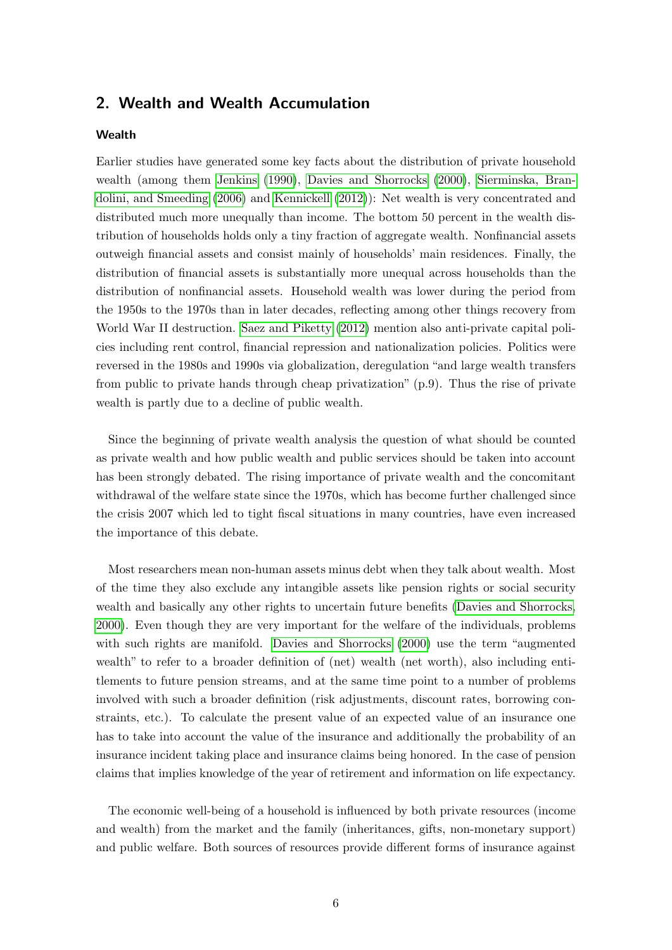## <span id="page-5-0"></span>2. Wealth and Wealth Accumulation

#### **Wealth**

Earlier studies have generated some key facts about the distribution of private household wealth (among them [Jenkins](#page-32-6) [\(1990\)](#page-32-6), [Davies and Shorrocks](#page-31-4) [\(2000\)](#page-31-4), [Sierminska, Bran](#page-32-7)[dolini, and Smeeding](#page-32-7) [\(2006\)](#page-32-7) and [Kennickell](#page-32-8) [\(2012\)](#page-32-8)): Net wealth is very concentrated and distributed much more unequally than income. The bottom 50 percent in the wealth distribution of households holds only a tiny fraction of aggregate wealth. Nonfinancial assets outweigh financial assets and consist mainly of households' main residences. Finally, the distribution of financial assets is substantially more unequal across households than the distribution of nonfinancial assets. Household wealth was lower during the period from the 1950s to the 1970s than in later decades, reflecting among other things recovery from World War II destruction. [Saez and Piketty](#page-32-9) [\(2012\)](#page-32-9) mention also anti-private capital policies including rent control, financial repression and nationalization policies. Politics were reversed in the 1980s and 1990s via globalization, deregulation "and large wealth transfers from public to private hands through cheap privatization" (p.9). Thus the rise of private wealth is partly due to a decline of public wealth.

Since the beginning of private wealth analysis the question of what should be counted as private wealth and how public wealth and public services should be taken into account has been strongly debated. The rising importance of private wealth and the concomitant withdrawal of the welfare state since the 1970s, which has become further challenged since the crisis 2007 which led to tight fiscal situations in many countries, have even increased the importance of this debate.

Most researchers mean non-human assets minus debt when they talk about wealth. Most of the time they also exclude any intangible assets like pension rights or social security wealth and basically any other rights to uncertain future benefits [\(Davies and Shorrocks,](#page-31-4) [2000\)](#page-31-4). Even though they are very important for the welfare of the individuals, problems with such rights are manifold. [Davies and Shorrocks](#page-31-4) [\(2000\)](#page-31-4) use the term "augmented wealth" to refer to a broader definition of (net) wealth (net worth), also including entitlements to future pension streams, and at the same time point to a number of problems involved with such a broader definition (risk adjustments, discount rates, borrowing constraints, etc.). To calculate the present value of an expected value of an insurance one has to take into account the value of the insurance and additionally the probability of an insurance incident taking place and insurance claims being honored. In the case of pension claims that implies knowledge of the year of retirement and information on life expectancy.

The economic well-being of a household is influenced by both private resources (income and wealth) from the market and the family (inheritances, gifts, non-monetary support) and public welfare. Both sources of resources provide different forms of insurance against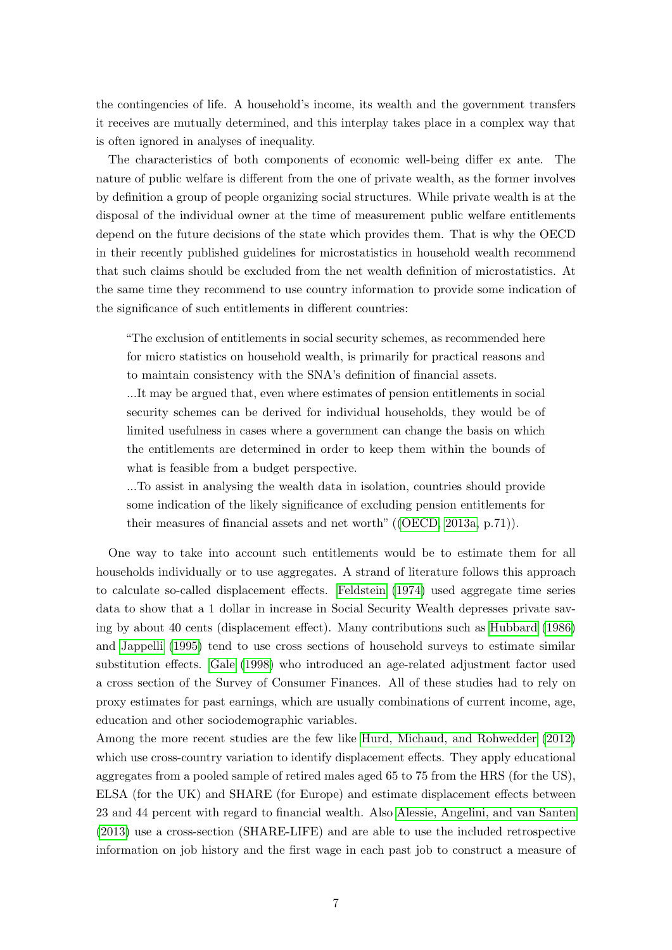the contingencies of life. A household's income, its wealth and the government transfers it receives are mutually determined, and this interplay takes place in a complex way that is often ignored in analyses of inequality.

The characteristics of both components of economic well-being differ ex ante. The nature of public welfare is different from the one of private wealth, as the former involves by definition a group of people organizing social structures. While private wealth is at the disposal of the individual owner at the time of measurement public welfare entitlements depend on the future decisions of the state which provides them. That is why the OECD in their recently published guidelines for microstatistics in household wealth recommend that such claims should be excluded from the net wealth definition of microstatistics. At the same time they recommend to use country information to provide some indication of the significance of such entitlements in different countries:

"The exclusion of entitlements in social security schemes, as recommended here for micro statistics on household wealth, is primarily for practical reasons and to maintain consistency with the SNA's definition of financial assets.

...It may be argued that, even where estimates of pension entitlements in social security schemes can be derived for individual households, they would be of limited usefulness in cases where a government can change the basis on which the entitlements are determined in order to keep them within the bounds of what is feasible from a budget perspective.

...To assist in analysing the wealth data in isolation, countries should provide some indication of the likely significance of excluding pension entitlements for their measures of financial assets and net worth" ([\(OECD, 2013a,](#page-32-10) p.71)).

One way to take into account such entitlements would be to estimate them for all households individually or to use aggregates. A strand of literature follows this approach to calculate so-called displacement effects. [Feldstein](#page-31-2) [\(1974\)](#page-31-2) used aggregate time series data to show that a 1 dollar in increase in Social Security Wealth depresses private saving by about 40 cents (displacement effect). Many contributions such as [Hubbard](#page-31-5) [\(1986\)](#page-31-5) and [Jappelli](#page-32-5) [\(1995\)](#page-32-5) tend to use cross sections of household surveys to estimate similar substitution effects. [Gale](#page-31-6) [\(1998\)](#page-31-6) who introduced an age-related adjustment factor used a cross section of the Survey of Consumer Finances. All of these studies had to rely on proxy estimates for past earnings, which are usually combinations of current income, age, education and other sociodemographic variables.

Among the more recent studies are the few like [Hurd, Michaud, and Rohwedder](#page-32-11) [\(2012\)](#page-32-11) which use cross-country variation to identify displacement effects. They apply educational aggregates from a pooled sample of retired males aged 65 to 75 from the HRS (for the US), ELSA (for the UK) and SHARE (for Europe) and estimate displacement effects between 23 and 44 percent with regard to financial wealth. Also [Alessie, Angelini, and van Santen](#page-31-3) [\(2013\)](#page-31-3) use a cross-section (SHARE-LIFE) and are able to use the included retrospective information on job history and the first wage in each past job to construct a measure of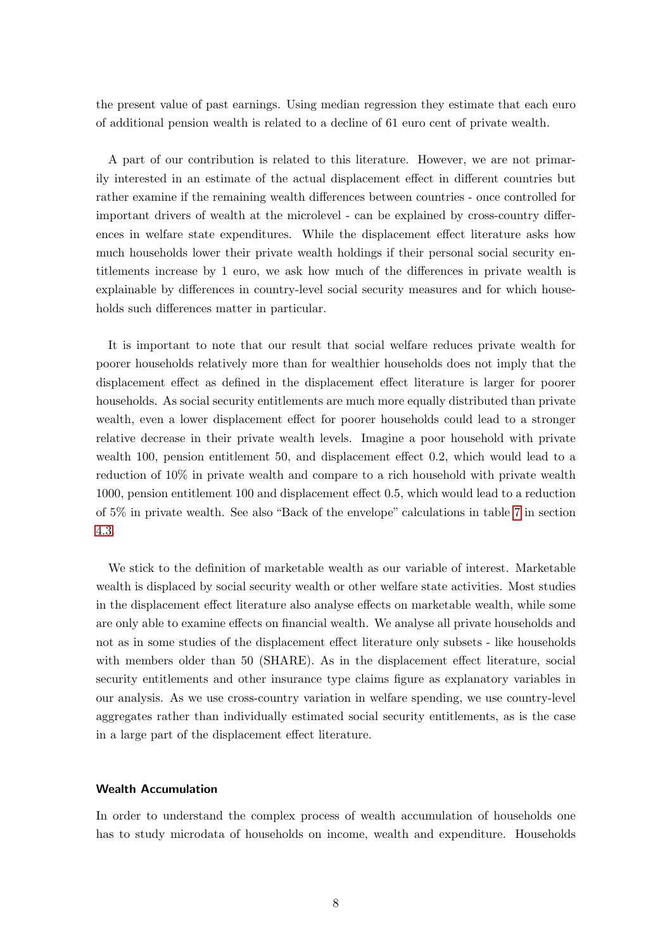the present value of past earnings. Using median regression they estimate that each euro of additional pension wealth is related to a decline of 61 euro cent of private wealth.

A part of our contribution is related to this literature. However, we are not primarily interested in an estimate of the actual displacement effect in different countries but rather examine if the remaining wealth differences between countries - once controlled for important drivers of wealth at the microlevel - can be explained by cross-country differences in welfare state expenditures. While the displacement effect literature asks how much households lower their private wealth holdings if their personal social security entitlements increase by 1 euro, we ask how much of the differences in private wealth is explainable by differences in country-level social security measures and for which households such differences matter in particular.

It is important to note that our result that social welfare reduces private wealth for poorer households relatively more than for wealthier households does not imply that the displacement effect as defined in the displacement effect literature is larger for poorer households. As social security entitlements are much more equally distributed than private wealth, even a lower displacement effect for poorer households could lead to a stronger relative decrease in their private wealth levels. Imagine a poor household with private wealth 100, pension entitlement 50, and displacement effect 0.2, which would lead to a reduction of 10% in private wealth and compare to a rich household with private wealth 1000, pension entitlement 100 and displacement effect 0.5, which would lead to a reduction of 5% in private wealth. See also "Back of the envelope" calculations in table [7](#page-28-0) in section [4.3.](#page-21-0)

We stick to the definition of marketable wealth as our variable of interest. Marketable wealth is displaced by social security wealth or other welfare state activities. Most studies in the displacement effect literature also analyse effects on marketable wealth, while some are only able to examine effects on financial wealth. We analyse all private households and not as in some studies of the displacement effect literature only subsets - like households with members older than 50 (SHARE). As in the displacement effect literature, social security entitlements and other insurance type claims figure as explanatory variables in our analysis. As we use cross-country variation in welfare spending, we use country-level aggregates rather than individually estimated social security entitlements, as is the case in a large part of the displacement effect literature.

#### Wealth Accumulation

In order to understand the complex process of wealth accumulation of households one has to study microdata of households on income, wealth and expenditure. Households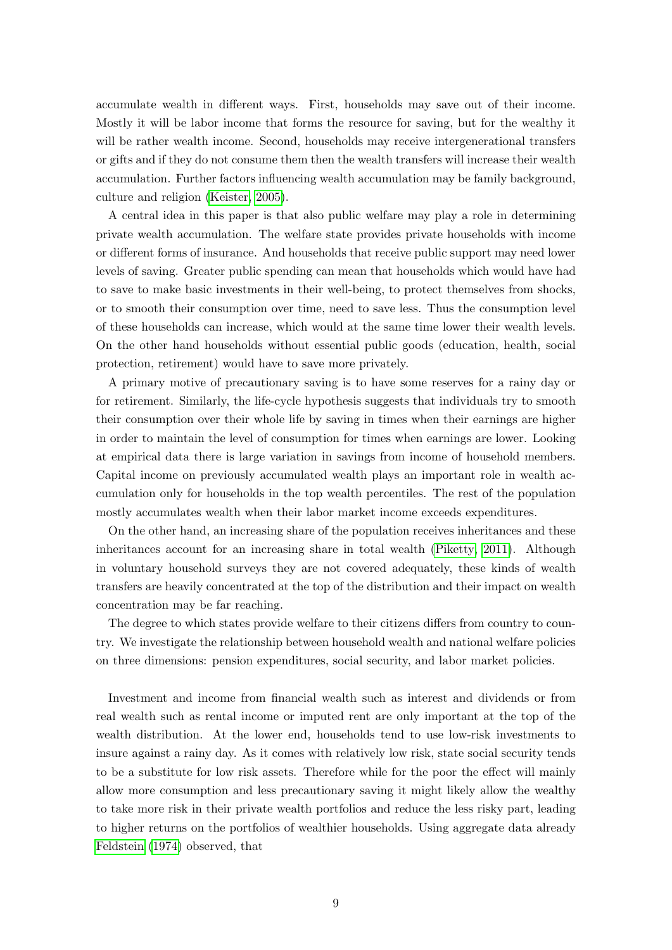accumulate wealth in different ways. First, households may save out of their income. Mostly it will be labor income that forms the resource for saving, but for the wealthy it will be rather wealth income. Second, households may receive intergenerational transfers or gifts and if they do not consume them then the wealth transfers will increase their wealth accumulation. Further factors influencing wealth accumulation may be family background, culture and religion [\(Keister, 2005\)](#page-32-12).

A central idea in this paper is that also public welfare may play a role in determining private wealth accumulation. The welfare state provides private households with income or different forms of insurance. And households that receive public support may need lower levels of saving. Greater public spending can mean that households which would have had to save to make basic investments in their well-being, to protect themselves from shocks, or to smooth their consumption over time, need to save less. Thus the consumption level of these households can increase, which would at the same time lower their wealth levels. On the other hand households without essential public goods (education, health, social protection, retirement) would have to save more privately.

A primary motive of precautionary saving is to have some reserves for a rainy day or for retirement. Similarly, the life-cycle hypothesis suggests that individuals try to smooth their consumption over their whole life by saving in times when their earnings are higher in order to maintain the level of consumption for times when earnings are lower. Looking at empirical data there is large variation in savings from income of household members. Capital income on previously accumulated wealth plays an important role in wealth accumulation only for households in the top wealth percentiles. The rest of the population mostly accumulates wealth when their labor market income exceeds expenditures.

On the other hand, an increasing share of the population receives inheritances and these inheritances account for an increasing share in total wealth [\(Piketty, 2011\)](#page-32-0). Although in voluntary household surveys they are not covered adequately, these kinds of wealth transfers are heavily concentrated at the top of the distribution and their impact on wealth concentration may be far reaching.

The degree to which states provide welfare to their citizens differs from country to country. We investigate the relationship between household wealth and national welfare policies on three dimensions: pension expenditures, social security, and labor market policies.

Investment and income from financial wealth such as interest and dividends or from real wealth such as rental income or imputed rent are only important at the top of the wealth distribution. At the lower end, households tend to use low-risk investments to insure against a rainy day. As it comes with relatively low risk, state social security tends to be a substitute for low risk assets. Therefore while for the poor the effect will mainly allow more consumption and less precautionary saving it might likely allow the wealthy to take more risk in their private wealth portfolios and reduce the less risky part, leading to higher returns on the portfolios of wealthier households. Using aggregate data already [Feldstein](#page-31-2) [\(1974\)](#page-31-2) observed, that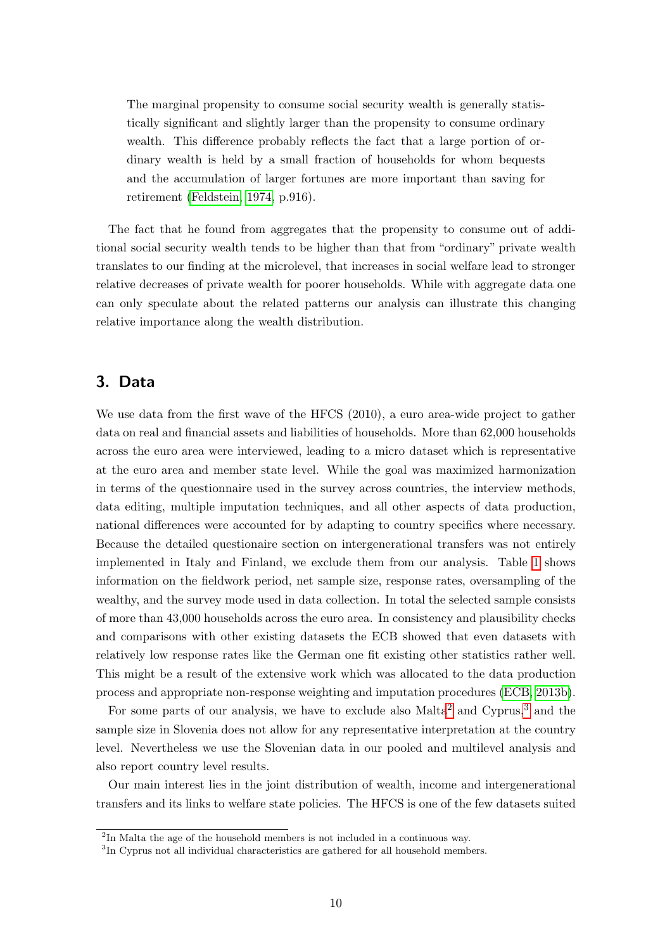The marginal propensity to consume social security wealth is generally statistically significant and slightly larger than the propensity to consume ordinary wealth. This difference probably reflects the fact that a large portion of ordinary wealth is held by a small fraction of households for whom bequests and the accumulation of larger fortunes are more important than saving for retirement [\(Feldstein, 1974,](#page-31-2) p.916).

The fact that he found from aggregates that the propensity to consume out of additional social security wealth tends to be higher than that from "ordinary" private wealth translates to our finding at the microlevel, that increases in social welfare lead to stronger relative decreases of private wealth for poorer households. While with aggregate data one can only speculate about the related patterns our analysis can illustrate this changing relative importance along the wealth distribution.

## <span id="page-9-0"></span>3. Data

We use data from the first wave of the HFCS (2010), a euro area-wide project to gather data on real and financial assets and liabilities of households. More than 62,000 households across the euro area were interviewed, leading to a micro dataset which is representative at the euro area and member state level. While the goal was maximized harmonization in terms of the questionnaire used in the survey across countries, the interview methods, data editing, multiple imputation techniques, and all other aspects of data production, national differences were accounted for by adapting to country specifics where necessary. Because the detailed questionaire section on intergenerational transfers was not entirely implemented in Italy and Finland, we exclude them from our analysis. Table [1](#page-10-0) shows information on the fieldwork period, net sample size, response rates, oversampling of the wealthy, and the survey mode used in data collection. In total the selected sample consists of more than 43,000 households across the euro area. In consistency and plausibility checks and comparisons with other existing datasets the ECB showed that even datasets with relatively low response rates like the German one fit existing other statistics rather well. This might be a result of the extensive work which was allocated to the data production process and appropriate non-response weighting and imputation procedures [\(ECB, 2013b\)](#page-31-7).

For some parts of our analysis, we have to exclude also Malta<sup>[2](#page-9-1)</sup> and Cyprus,<sup>[3](#page-9-2)</sup> and the sample size in Slovenia does not allow for any representative interpretation at the country level. Nevertheless we use the Slovenian data in our pooled and multilevel analysis and also report country level results.

Our main interest lies in the joint distribution of wealth, income and intergenerational transfers and its links to welfare state policies. The HFCS is one of the few datasets suited

<span id="page-9-1"></span><sup>&</sup>lt;sup>2</sup>In Malta the age of the household members is not included in a continuous way.

<span id="page-9-2"></span><sup>&</sup>lt;sup>3</sup>In Cyprus not all individual characteristics are gathered for all household members.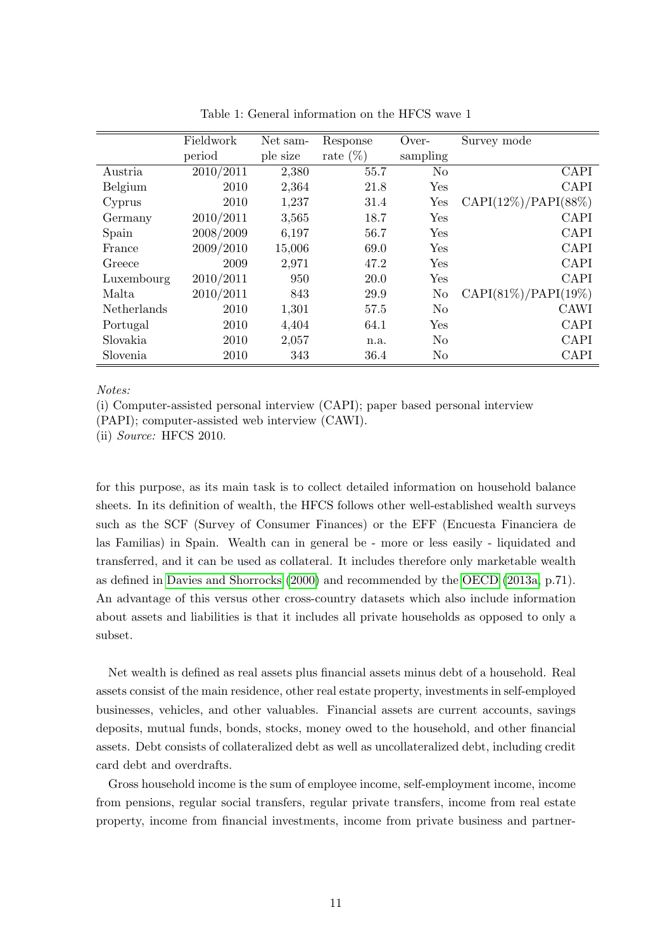<span id="page-10-0"></span>

|                    | Fieldwork | Net sam- | Response    | Over-          | Survey mode             |
|--------------------|-----------|----------|-------------|----------------|-------------------------|
|                    | period    | ple size | rate $(\%)$ | sampling       |                         |
| Austria            | 2010/2011 | 2,380    | 55.7        | N <sub>0</sub> | <b>CAPI</b>             |
| Belgium            | 2010      | 2,364    | 21.8        | Yes            | <b>CAPI</b>             |
| Cyprus             | 2010      | 1,237    | 31.4        | Yes            | $CAPI(12\%)/PAPI(88\%)$ |
| Germany            | 2010/2011 | 3,565    | 18.7        | Yes            | CAPI                    |
| Spain              | 2008/2009 | 6,197    | 56.7        | Yes            | <b>CAPI</b>             |
| France             | 2009/2010 | 15,006   | 69.0        | Yes            | CAPI                    |
| Greece             | 2009      | 2,971    | 47.2        | <b>Yes</b>     | <b>CAPI</b>             |
| Luxembourg         | 2010/2011 | 950      | 20.0        | Yes            | CAPI                    |
| Malta              | 2010/2011 | 843      | 29.9        | No             | $CAPI(81\%)/PAPI(19\%)$ |
| <b>Netherlands</b> | 2010      | 1,301    | 57.5        | N <sub>0</sub> | <b>CAWI</b>             |
| Portugal           | 2010      | 4,404    | 64.1        | Yes            | CAPI                    |
| Slovakia           | 2010      | 2,057    | n.a.        | N <sub>o</sub> | <b>CAPI</b>             |
| Slovenia           | 2010      | 343      | 36.4        | N <sub>o</sub> | CAPI                    |

Table 1: General information on the HFCS wave 1

Notes:

(i) Computer-assisted personal interview (CAPI); paper based personal interview

(PAPI); computer-assisted web interview (CAWI).

(ii) *Source:* HFCS 2010.

for this purpose, as its main task is to collect detailed information on household balance sheets. In its definition of wealth, the HFCS follows other well-established wealth surveys such as the SCF (Survey of Consumer Finances) or the EFF (Encuesta Financiera de las Familias) in Spain. Wealth can in general be - more or less easily - liquidated and transferred, and it can be used as collateral. It includes therefore only marketable wealth as defined in [Davies and Shorrocks](#page-31-4) [\(2000\)](#page-31-4) and recommended by the [OECD](#page-32-10) [\(2013a,](#page-32-10) p.71). An advantage of this versus other cross-country datasets which also include information about assets and liabilities is that it includes all private households as opposed to only a subset.

Net wealth is defined as real assets plus financial assets minus debt of a household. Real assets consist of the main residence, other real estate property, investments in self-employed businesses, vehicles, and other valuables. Financial assets are current accounts, savings deposits, mutual funds, bonds, stocks, money owed to the household, and other financial assets. Debt consists of collateralized debt as well as uncollateralized debt, including credit card debt and overdrafts.

Gross household income is the sum of employee income, self-employment income, income from pensions, regular social transfers, regular private transfers, income from real estate property, income from financial investments, income from private business and partner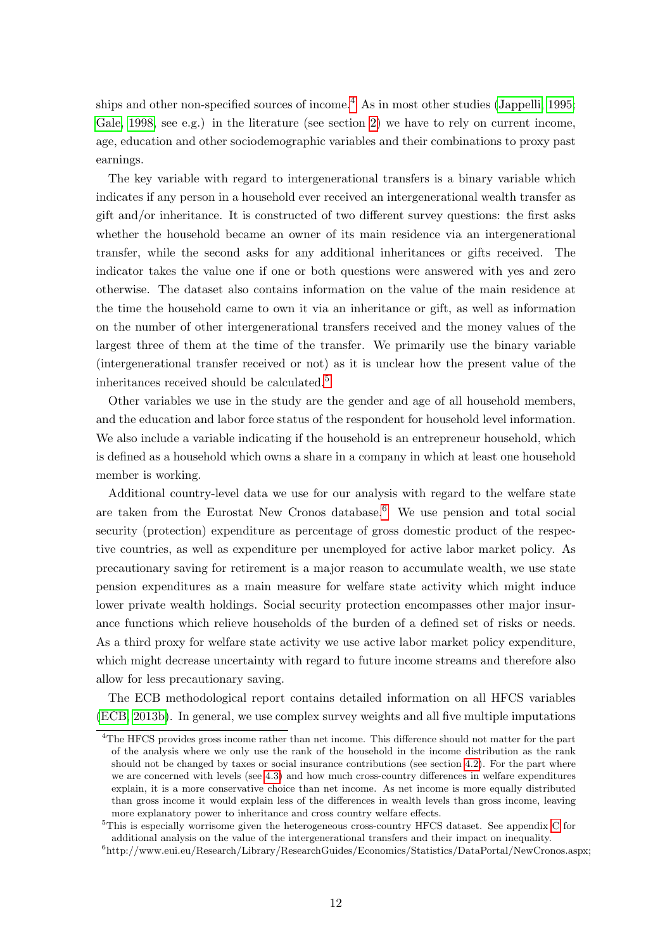ships and other non-specified sources of income.<sup>[4](#page-11-0)</sup> As in most other studies [\(Jappelli, 1995;](#page-32-5) [Gale, 1998,](#page-31-6) see e.g.) in the literature (see section [2\)](#page-5-0) we have to rely on current income, age, education and other sociodemographic variables and their combinations to proxy past earnings.

The key variable with regard to intergenerational transfers is a binary variable which indicates if any person in a household ever received an intergenerational wealth transfer as gift and/or inheritance. It is constructed of two different survey questions: the first asks whether the household became an owner of its main residence via an intergenerational transfer, while the second asks for any additional inheritances or gifts received. The indicator takes the value one if one or both questions were answered with yes and zero otherwise. The dataset also contains information on the value of the main residence at the time the household came to own it via an inheritance or gift, as well as information on the number of other intergenerational transfers received and the money values of the largest three of them at the time of the transfer. We primarily use the binary variable (intergenerational transfer received or not) as it is unclear how the present value of the inheritances received should be calculated.<sup>[5](#page-11-1)</sup>

Other variables we use in the study are the gender and age of all household members, and the education and labor force status of the respondent for household level information. We also include a variable indicating if the household is an entrepreneur household, which is defined as a household which owns a share in a company in which at least one household member is working.

Additional country-level data we use for our analysis with regard to the welfare state are taken from the Eurostat New Cronos database.<sup>[6](#page-11-2)</sup> We use pension and total social security (protection) expenditure as percentage of gross domestic product of the respective countries, as well as expenditure per unemployed for active labor market policy. As precautionary saving for retirement is a major reason to accumulate wealth, we use state pension expenditures as a main measure for welfare state activity which might induce lower private wealth holdings. Social security protection encompasses other major insurance functions which relieve households of the burden of a defined set of risks or needs. As a third proxy for welfare state activity we use active labor market policy expenditure, which might decrease uncertainty with regard to future income streams and therefore also allow for less precautionary saving.

The ECB methodological report contains detailed information on all HFCS variables [\(ECB, 2013b\)](#page-31-7). In general, we use complex survey weights and all five multiple imputations

<span id="page-11-0"></span><sup>&</sup>lt;sup>4</sup>The HFCS provides gross income rather than net income. This difference should not matter for the part of the analysis where we only use the rank of the household in the income distribution as the rank should not be changed by taxes or social insurance contributions (see section [4.2\)](#page-17-0). For the part where we are concerned with levels (see [4.3\)](#page-21-0) and how much cross-country differences in welfare expenditures explain, it is a more conservative choice than net income. As net income is more equally distributed than gross income it would explain less of the differences in wealth levels than gross income, leaving more explanatory power to inheritance and cross country welfare effects.

<span id="page-11-1"></span><sup>5</sup>This is especially worrisome given the heterogeneous cross-country HFCS dataset. See appendix [C](#page-36-0) for additional analysis on the value of the intergenerational transfers and their impact on inequality.

<span id="page-11-2"></span><sup>6</sup> http://www.eui.eu/Research/Library/ResearchGuides/Economics/Statistics/DataPortal/NewCronos.aspx;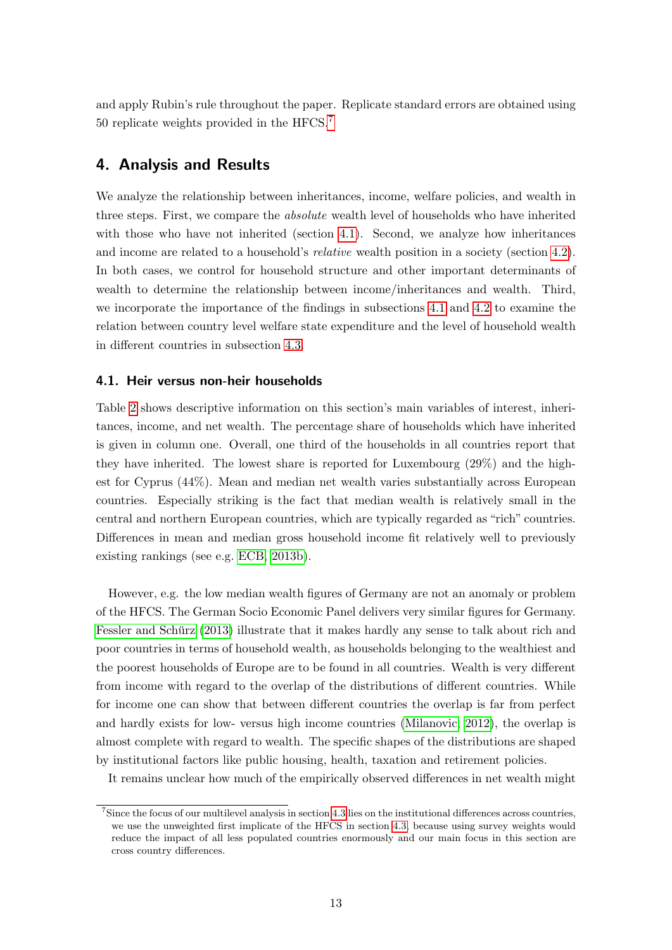and apply Rubin's rule throughout the paper. Replicate standard errors are obtained using 50 replicate weights provided in the HFCS.<sup>[7](#page-12-2)</sup>

## <span id="page-12-0"></span>4. Analysis and Results

We analyze the relationship between inheritances, income, welfare policies, and wealth in three steps. First, we compare the absolute wealth level of households who have inherited with those who have not inherited (section [4.1\)](#page-12-1). Second, we analyze how inheritances and income are related to a household's *relative* wealth position in a society (section [4.2\)](#page-17-0). In both cases, we control for household structure and other important determinants of wealth to determine the relationship between income/inheritances and wealth. Third, we incorporate the importance of the findings in subsections [4.1](#page-12-1) and [4.2](#page-17-0) to examine the relation between country level welfare state expenditure and the level of household wealth in different countries in subsection [4.3.](#page-21-0)

## <span id="page-12-1"></span>4.1. Heir versus non-heir households

Table [2](#page-13-0) shows descriptive information on this section's main variables of interest, inheritances, income, and net wealth. The percentage share of households which have inherited is given in column one. Overall, one third of the households in all countries report that they have inherited. The lowest share is reported for Luxembourg (29%) and the highest for Cyprus (44%). Mean and median net wealth varies substantially across European countries. Especially striking is the fact that median wealth is relatively small in the central and northern European countries, which are typically regarded as "rich" countries. Differences in mean and median gross household income fit relatively well to previously existing rankings (see e.g. [ECB, 2013b\)](#page-31-7).

However, e.g. the low median wealth figures of Germany are not an anomaly or problem of the HFCS. The German Socio Economic Panel delivers very similar figures for Germany. Fessler and Schürz [\(2013\)](#page-31-8) illustrate that it makes hardly any sense to talk about rich and poor countries in terms of household wealth, as households belonging to the wealthiest and the poorest households of Europe are to be found in all countries. Wealth is very different from income with regard to the overlap of the distributions of different countries. While for income one can show that between different countries the overlap is far from perfect and hardly exists for low- versus high income countries [\(Milanovic, 2012\)](#page-32-13), the overlap is almost complete with regard to wealth. The specific shapes of the distributions are shaped by institutional factors like public housing, health, taxation and retirement policies.

It remains unclear how much of the empirically observed differences in net wealth might

<span id="page-12-2"></span><sup>7</sup> Since the focus of our multilevel analysis in section [4.3](#page-21-0) lies on the institutional differences across countries, we use the unweighted first implicate of the HFCS in section [4.3,](#page-21-0) because using survey weights would reduce the impact of all less populated countries enormously and our main focus in this section are cross country differences.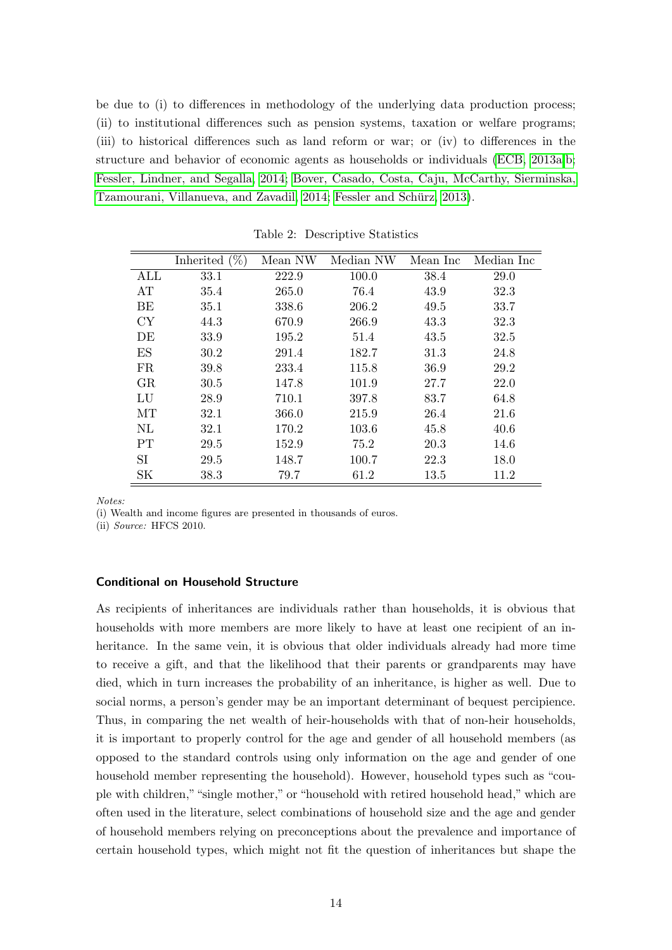be due to (i) to differences in methodology of the underlying data production process; (ii) to institutional differences such as pension systems, taxation or welfare programs; (iii) to historical differences such as land reform or war; or (iv) to differences in the structure and behavior of economic agents as households or individuals [\(ECB, 2013a,](#page-31-9)[b;](#page-31-7) [Fessler, Lindner, and Segalla, 2014;](#page-31-10) [Bover, Casado, Costa, Caju, McCarthy, Sierminska,](#page-31-11) [Tzamourani, Villanueva, and Zavadil, 2014;](#page-31-11) Fessler and Schürz, 2013).

<span id="page-13-0"></span>

|           | Inherited $(\%)$ | Mean NW | Median NW | Mean Inc | Median Inc |
|-----------|------------------|---------|-----------|----------|------------|
| ALL       | 33.1             | 222.9   | 100.0     | 38.4     | 29.0       |
| AT        | 35.4             | 265.0   | 76.4      | 43.9     | 32.3       |
| BE        | 35.1             | 338.6   | 206.2     | 49.5     | 33.7       |
| <b>CY</b> | 44.3             | 670.9   | 266.9     | 43.3     | 32.3       |
| DE        | 33.9             | 195.2   | 51.4      | 43.5     | 32.5       |
| ES        | 30.2             | 291.4   | 182.7     | 31.3     | 24.8       |
| <b>FR</b> | 39.8             | 233.4   | 115.8     | 36.9     | 29.2       |
| GR        | 30.5             | 147.8   | 101.9     | 27.7     | 22.0       |
| LU        | 28.9             | 710.1   | 397.8     | 83.7     | 64.8       |
| МT        | 32.1             | 366.0   | 215.9     | 26.4     | 21.6       |
| NL        | 32.1             | 170.2   | 103.6     | 45.8     | 40.6       |
| <b>PT</b> | 29.5             | 152.9   | 75.2      | 20.3     | 14.6       |
| SI        | 29.5             | 148.7   | 100.7     | 22.3     | 18.0       |
| <b>SK</b> | 38.3             | 79.7    | 61.2      | 13.5     | 11.2       |

Table 2: Descriptive Statistics

Notes:

(i) Wealth and income figures are presented in thousands of euros.

(ii) Source: HFCS 2010.

#### Conditional on Household Structure

As recipients of inheritances are individuals rather than households, it is obvious that households with more members are more likely to have at least one recipient of an inheritance. In the same vein, it is obvious that older individuals already had more time to receive a gift, and that the likelihood that their parents or grandparents may have died, which in turn increases the probability of an inheritance, is higher as well. Due to social norms, a person's gender may be an important determinant of bequest percipience. Thus, in comparing the net wealth of heir-households with that of non-heir households, it is important to properly control for the age and gender of all household members (as opposed to the standard controls using only information on the age and gender of one household member representing the household). However, household types such as "couple with children,""single mother," or "household with retired household head," which are often used in the literature, select combinations of household size and the age and gender of household members relying on preconceptions about the prevalence and importance of certain household types, which might not fit the question of inheritances but shape the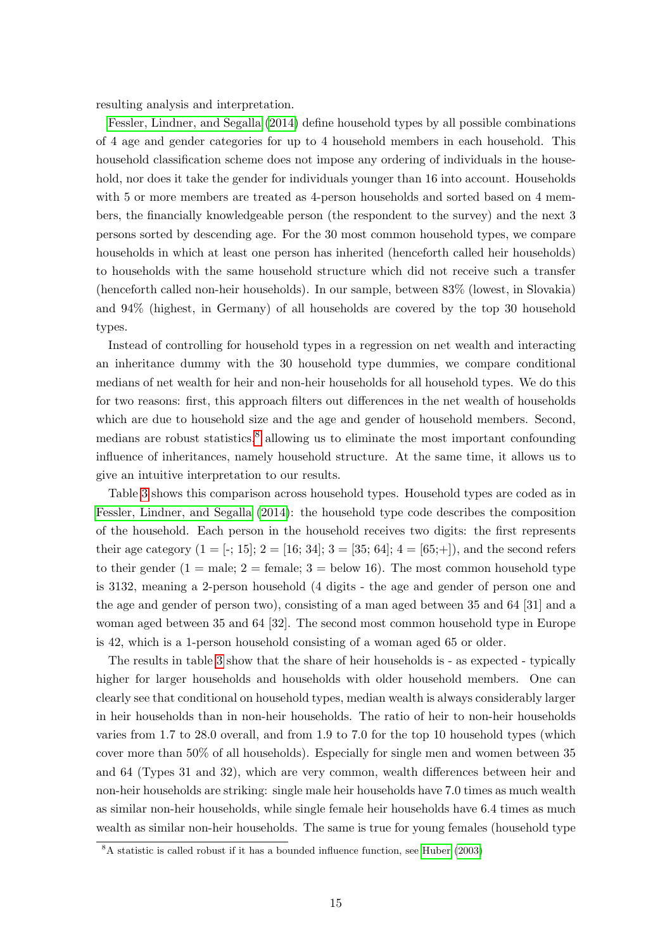resulting analysis and interpretation.

[Fessler, Lindner, and Segalla](#page-31-10) [\(2014\)](#page-31-10) define household types by all possible combinations of 4 age and gender categories for up to 4 household members in each household. This household classification scheme does not impose any ordering of individuals in the household, nor does it take the gender for individuals younger than 16 into account. Households with 5 or more members are treated as 4-person households and sorted based on 4 members, the financially knowledgeable person (the respondent to the survey) and the next 3 persons sorted by descending age. For the 30 most common household types, we compare households in which at least one person has inherited (henceforth called heir households) to households with the same household structure which did not receive such a transfer (henceforth called non-heir households). In our sample, between 83% (lowest, in Slovakia) and 94% (highest, in Germany) of all households are covered by the top 30 household types.

Instead of controlling for household types in a regression on net wealth and interacting an inheritance dummy with the 30 household type dummies, we compare conditional medians of net wealth for heir and non-heir households for all household types. We do this for two reasons: first, this approach filters out differences in the net wealth of households which are due to household size and the age and gender of household members. Second, medians are robust statistics, $\delta$  allowing us to eliminate the most important confounding influence of inheritances, namely household structure. At the same time, it allows us to give an intuitive interpretation to our results.

Table [3](#page-16-0) shows this comparison across household types. Household types are coded as in [Fessler, Lindner, and Segalla](#page-31-10) [\(2014\)](#page-31-10): the household type code describes the composition of the household. Each person in the household receives two digits: the first represents their age category  $(1 = [-; 15]; 2 = [16; 34]; 3 = [35; 64]; 4 = [65; +])$ , and the second refers to their gender  $(1 = \text{male}; 2 = \text{female}; 3 = \text{below } 16)$ . The most common household type is 3132, meaning a 2-person household (4 digits - the age and gender of person one and the age and gender of person two), consisting of a man aged between 35 and 64 [31] and a woman aged between 35 and 64 [32]. The second most common household type in Europe is 42, which is a 1-person household consisting of a woman aged 65 or older.

The results in table [3](#page-16-0) show that the share of heir households is - as expected - typically higher for larger households and households with older household members. One can clearly see that conditional on household types, median wealth is always considerably larger in heir households than in non-heir households. The ratio of heir to non-heir households varies from 1.7 to 28.0 overall, and from 1.9 to 7.0 for the top 10 household types (which cover more than 50% of all households). Especially for single men and women between 35 and 64 (Types 31 and 32), which are very common, wealth differences between heir and non-heir households are striking: single male heir households have 7.0 times as much wealth as similar non-heir households, while single female heir households have 6.4 times as much wealth as similar non-heir households. The same is true for young females (household type

<span id="page-14-0"></span><sup>8</sup>A statistic is called robust if it has a bounded influence function, see [Huber](#page-32-14) [\(2003\)](#page-32-14)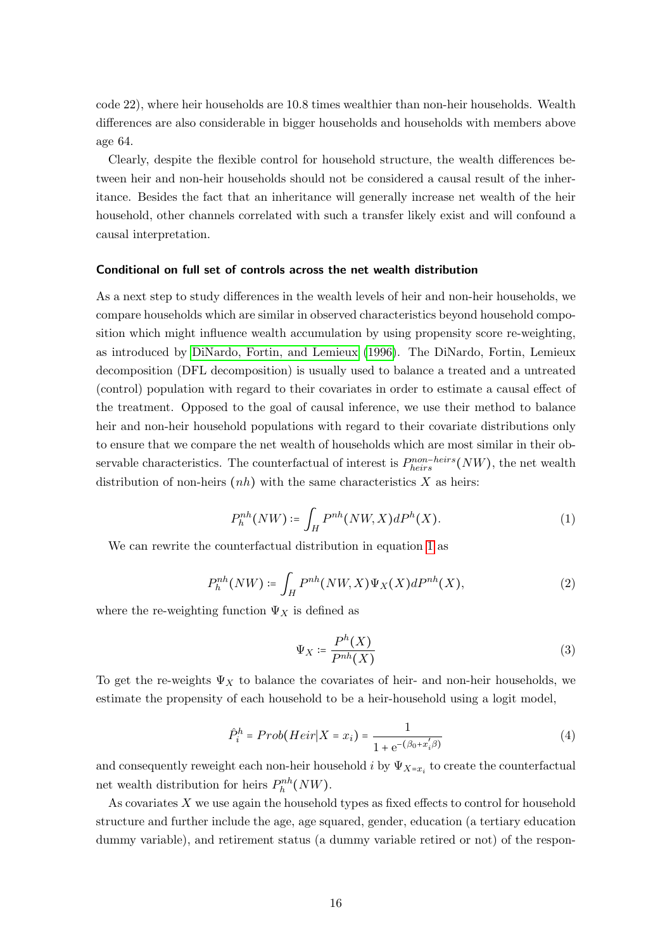code 22), where heir households are 10.8 times wealthier than non-heir households. Wealth differences are also considerable in bigger households and households with members above age 64.

Clearly, despite the flexible control for household structure, the wealth differences between heir and non-heir households should not be considered a causal result of the inheritance. Besides the fact that an inheritance will generally increase net wealth of the heir household, other channels correlated with such a transfer likely exist and will confound a causal interpretation.

#### Conditional on full set of controls across the net wealth distribution

As a next step to study differences in the wealth levels of heir and non-heir households, we compare households which are similar in observed characteristics beyond household composition which might influence wealth accumulation by using propensity score re-weighting, as introduced by [DiNardo, Fortin, and Lemieux](#page-31-12) [\(1996\)](#page-31-12). The DiNardo, Fortin, Lemieux decomposition (DFL decomposition) is usually used to balance a treated and a untreated (control) population with regard to their covariates in order to estimate a causal effect of the treatment. Opposed to the goal of causal inference, we use their method to balance heir and non-heir household populations with regard to their covariate distributions only to ensure that we compare the net wealth of households which are most similar in their observable characteristics. The counterfactual of interest is  $P_{heirs}^{non-heirs}(NW)$ , the net wealth distribution of non-heirs  $(nh)$  with the same characteristics X as heirs:

<span id="page-15-0"></span>
$$
P_h^{nh}(NW) \coloneqq \int_H P^{nh}(NW, X) dP^h(X). \tag{1}
$$

We can rewrite the counterfactual distribution in equation [1](#page-15-0) as

$$
P_h^{nh}(NW) \coloneqq \int_H P^{nh}(NW, X)\Psi_X(X)dP^{nh}(X),\tag{2}
$$

where the re-weighting function  $\Psi_X$  is defined as

$$
\Psi_X \coloneqq \frac{P^h(X)}{P^{nh}(X)}\tag{3}
$$

To get the re-weights  $\Psi_X$  to balance the covariates of heir- and non-heir households, we estimate the propensity of each household to be a heir-household using a logit model,

$$
\hat{P}_i^h = Prob(Heir|X = x_i) = \frac{1}{1 + e^{-(\beta_0 + x_i/\beta)}}
$$
(4)

and consequently reweight each non-heir household  $i$  by  $\Psi_{X=x_i}$  to create the counterfactual net wealth distribution for heirs  $P_h^{nh}(NW)$ .

As covariates X we use again the household types as fixed effects to control for household structure and further include the age, age squared, gender, education (a tertiary education dummy variable), and retirement status (a dummy variable retired or not) of the respon-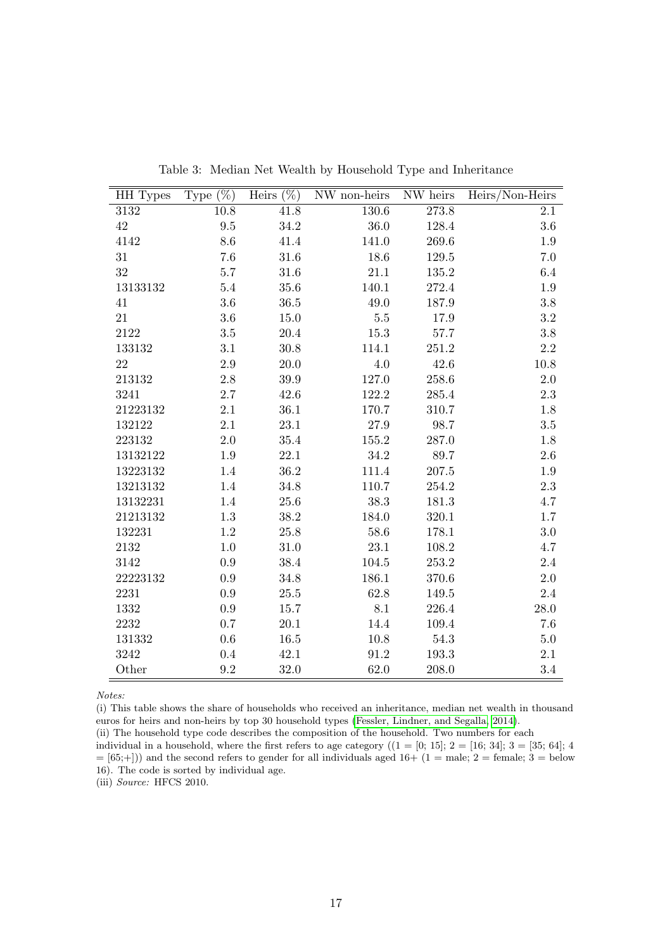<span id="page-16-0"></span>

| HH Types | Type $(\%)$ | Heirs $(\%)$ | NW non-heirs | NW heirs  | Heirs/Non-Heirs |
|----------|-------------|--------------|--------------|-----------|-----------------|
| 3132     | 10.8        | 41.8         | $130.6\,$    | 273.8     | 2.1             |
| 42       | 9.5         | 34.2         | 36.0         | 128.4     | $3.6\,$         |
| 4142     | 8.6         | $41.4\,$     | 141.0        | 269.6     | $1.9\,$         |
| 31       | 7.6         | 31.6         | 18.6         | 129.5     | 7.0             |
| 32       | 5.7         | 31.6         | 21.1         | 135.2     | 6.4             |
| 13133132 | $5.4\,$     | 35.6         | 140.1        | 272.4     | 1.9             |
| 41       | $3.6\,$     | $36.5\,$     | 49.0         | 187.9     | $3.8\,$         |
| 21       | $3.6\,$     | 15.0         | $5.5\,$      | 17.9      | $\!3.2\!$       |
| 2122     | $3.5\,$     | 20.4         | $15.3\,$     | $57.7\,$  | $3.8\,$         |
| 133132   | 3.1         | 30.8         | 114.1        | 251.2     | $2.2\,$         |
| 22       | $2.9\,$     | $20.0\,$     | 4.0          | 42.6      | $10.8\,$        |
| 213132   | $2.8\,$     | 39.9         | $127.0\,$    | $258.6\,$ | $2.0\,$         |
| 3241     | $2.7\,$     | 42.6         | $122.2\,$    | 285.4     | $2.3\,$         |
| 21223132 | 2.1         | 36.1         | 170.7        | 310.7     | 1.8             |
| 132122   | 2.1         | $23.1\,$     | $27.9\,$     | 98.7      | $3.5\,$         |
| 223132   | $2.0\,$     | 35.4         | $155.2\,$    | 287.0     | 1.8             |
| 13132122 | 1.9         | 22.1         | 34.2         | 89.7      | $2.6\,$         |
| 13223132 | 1.4         | $36.2\,$     | 111.4        | $207.5\,$ | $1.9\,$         |
| 13213132 | 1.4         | 34.8         | 110.7        | 254.2     | $2.3\,$         |
| 13132231 | 1.4         | 25.6         | 38.3         | 181.3     | 4.7             |
| 21213132 | $1.3\,$     | 38.2         | 184.0        | $320.1\,$ | $1.7\,$         |
| 132231   | $1.2\,$     | 25.8         | 58.6         | 178.1     | $3.0\,$         |
| 2132     | 1.0         | 31.0         | 23.1         | 108.2     | 4.7             |
| 3142     | 0.9         | 38.4         | 104.5        | $253.2\,$ | $2.4\,$         |
| 22223132 | 0.9         | 34.8         | 186.1        | 370.6     | $2.0\,$         |
| 2231     | 0.9         | $25.5\,$     | 62.8         | 149.5     | $2.4\,$         |
| 1332     | $\rm 0.9$   | 15.7         | 8.1          | 226.4     | $28.0\,$        |
| 2232     | 0.7         | 20.1         | 14.4         | 109.4     | 7.6             |
| 131332   | 0.6         | 16.5         | 10.8         | 54.3      | $5.0\,$         |
| 3242     | 0.4         | $42.1\,$     | 91.2         | $193.3\,$ | 2.1             |
| Other    | 9.2         | 32.0         | 62.0         | 208.0     | 3.4             |

Table 3: Median Net Wealth by Household Type and Inheritance

Notes:

(i) This table shows the share of households who received an inheritance, median net wealth in thousand euros for heirs and non-heirs by top 30 household types [\(Fessler, Lindner, and Segalla, 2014\)](#page-31-10).

(ii) The household type code describes the composition of the household. Two numbers for each

individual in a household, where the first refers to age category  $((1 = [0, 15]; 2 = [16; 34]; 3 = [35; 64]; 4)$  $=[65;+]$ ) and the second refers to gender for all individuals aged 16+ (1 = male; 2 = female; 3 = below 16). The code is sorted by individual age.

(iii) Source: HFCS 2010.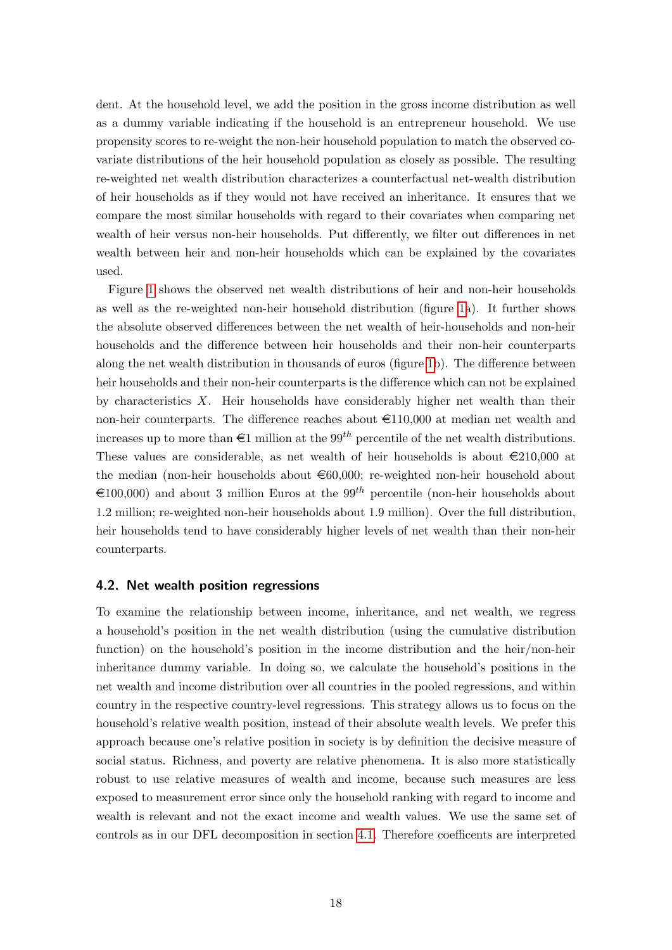dent. At the household level, we add the position in the gross income distribution as well as a dummy variable indicating if the household is an entrepreneur household. We use propensity scores to re-weight the non-heir household population to match the observed covariate distributions of the heir household population as closely as possible. The resulting re-weighted net wealth distribution characterizes a counterfactual net-wealth distribution of heir households as if they would not have received an inheritance. It ensures that we compare the most similar households with regard to their covariates when comparing net wealth of heir versus non-heir households. Put differently, we filter out differences in net wealth between heir and non-heir households which can be explained by the covariates used.

Figure [1](#page-18-0) shows the observed net wealth distributions of heir and non-heir households as well as the re-weighted non-heir household distribution (figure [1a](#page-18-0)). It further shows the absolute observed differences between the net wealth of heir-households and non-heir households and the difference between heir households and their non-heir counterparts along the net wealth distribution in thousands of euros (figure [1b](#page-18-0)). The difference between heir households and their non-heir counterparts is the difference which can not be explained by characteristics X. Heir households have considerably higher net wealth than their non-heir counterparts. The difference reaches about  $\epsilon$ 110,000 at median net wealth and increases up to more than  $\epsilon_1$  million at the 99<sup>th</sup> percentile of the net wealth distributions. These values are considerable, as net wealth of heir households is about  $\epsilon$ 210,000 at the median (non-heir households about  $\epsilon$ 60,000; re-weighted non-heir household about  $\in$ 100,000) and about 3 million Euros at the 99<sup>th</sup> percentile (non-heir households about 1.2 million; re-weighted non-heir households about 1.9 million). Over the full distribution, heir households tend to have considerably higher levels of net wealth than their non-heir counterparts.

#### <span id="page-17-0"></span>4.2. Net wealth position regressions

To examine the relationship between income, inheritance, and net wealth, we regress a household's position in the net wealth distribution (using the cumulative distribution function) on the household's position in the income distribution and the heir/non-heir inheritance dummy variable. In doing so, we calculate the household's positions in the net wealth and income distribution over all countries in the pooled regressions, and within country in the respective country-level regressions. This strategy allows us to focus on the household's relative wealth position, instead of their absolute wealth levels. We prefer this approach because one's relative position in society is by definition the decisive measure of social status. Richness, and poverty are relative phenomena. It is also more statistically robust to use relative measures of wealth and income, because such measures are less exposed to measurement error since only the household ranking with regard to income and wealth is relevant and not the exact income and wealth values. We use the same set of controls as in our DFL decomposition in section [4.1.](#page-12-1) Therefore coefficents are interpreted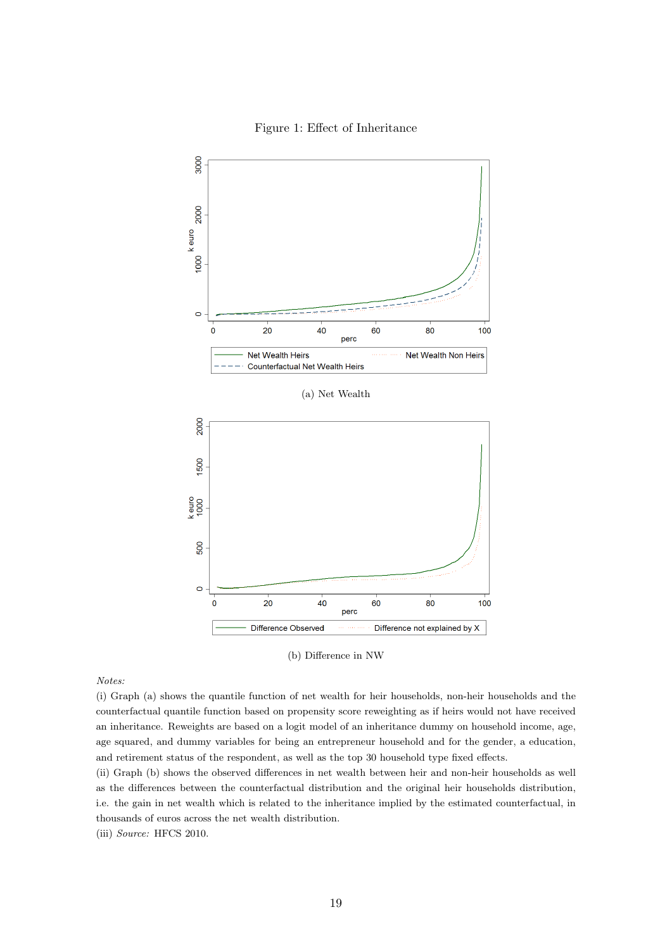

<span id="page-18-0"></span>

(b) Difference in NW

Notes:

(i) Graph (a) shows the quantile function of net wealth for heir households, non-heir households and the counterfactual quantile function based on propensity score reweighting as if heirs would not have received an inheritance. Reweights are based on a logit model of an inheritance dummy on household income, age, age squared, and dummy variables for being an entrepreneur household and for the gender, a education, and retirement status of the respondent, as well as the top 30 household type fixed effects.

(ii) Graph (b) shows the observed differences in net wealth between heir and non-heir households as well as the differences between the counterfactual distribution and the original heir households distribution, i.e. the gain in net wealth which is related to the inheritance implied by the estimated counterfactual, in thousands of euros across the net wealth distribution.

(iii) Source: HFCS 2010.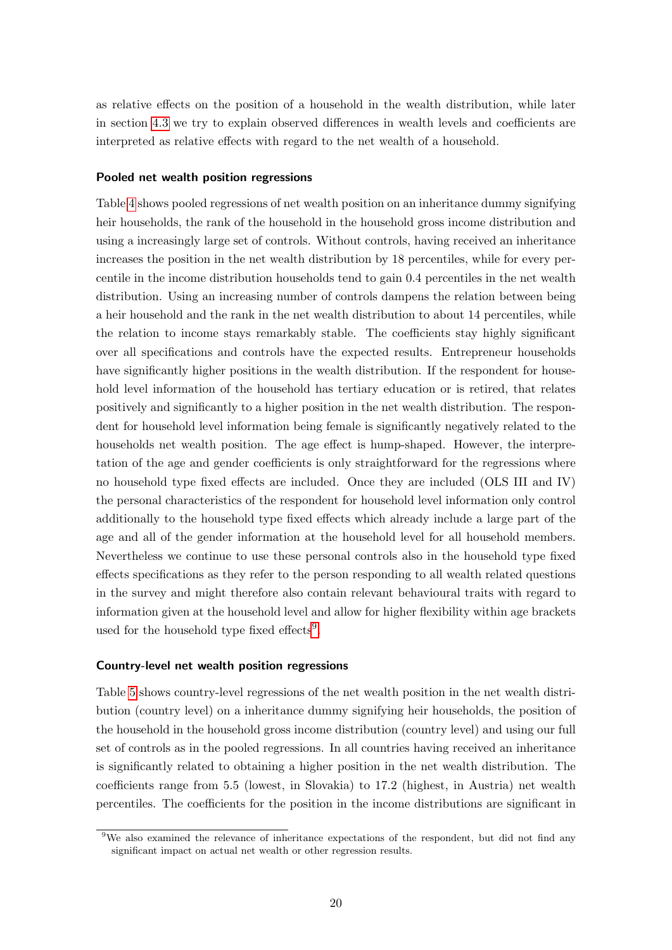as relative effects on the position of a household in the wealth distribution, while later in section [4.3](#page-21-0) we try to explain observed differences in wealth levels and coefficients are interpreted as relative effects with regard to the net wealth of a household.

#### Pooled net wealth position regressions

Table [4](#page-20-0) shows pooled regressions of net wealth position on an inheritance dummy signifying heir households, the rank of the household in the household gross income distribution and using a increasingly large set of controls. Without controls, having received an inheritance increases the position in the net wealth distribution by 18 percentiles, while for every percentile in the income distribution households tend to gain 0.4 percentiles in the net wealth distribution. Using an increasing number of controls dampens the relation between being a heir household and the rank in the net wealth distribution to about 14 percentiles, while the relation to income stays remarkably stable. The coefficients stay highly significant over all specifications and controls have the expected results. Entrepreneur households have significantly higher positions in the wealth distribution. If the respondent for household level information of the household has tertiary education or is retired, that relates positively and significantly to a higher position in the net wealth distribution. The respondent for household level information being female is significantly negatively related to the households net wealth position. The age effect is hump-shaped. However, the interpretation of the age and gender coefficients is only straightforward for the regressions where no household type fixed effects are included. Once they are included (OLS III and IV) the personal characteristics of the respondent for household level information only control additionally to the household type fixed effects which already include a large part of the age and all of the gender information at the household level for all household members. Nevertheless we continue to use these personal controls also in the household type fixed effects specifications as they refer to the person responding to all wealth related questions in the survey and might therefore also contain relevant behavioural traits with regard to information given at the household level and allow for higher flexibility within age brackets used for the household type fixed effects<sup>[9](#page-19-0)</sup>.

#### Country-level net wealth position regressions

Table [5](#page-22-0) shows country-level regressions of the net wealth position in the net wealth distribution (country level) on a inheritance dummy signifying heir households, the position of the household in the household gross income distribution (country level) and using our full set of controls as in the pooled regressions. In all countries having received an inheritance is significantly related to obtaining a higher position in the net wealth distribution. The coefficients range from 5.5 (lowest, in Slovakia) to 17.2 (highest, in Austria) net wealth percentiles. The coefficients for the position in the income distributions are significant in

<span id="page-19-0"></span><sup>9</sup>We also examined the relevance of inheritance expectations of the respondent, but did not find any significant impact on actual net wealth or other regression results.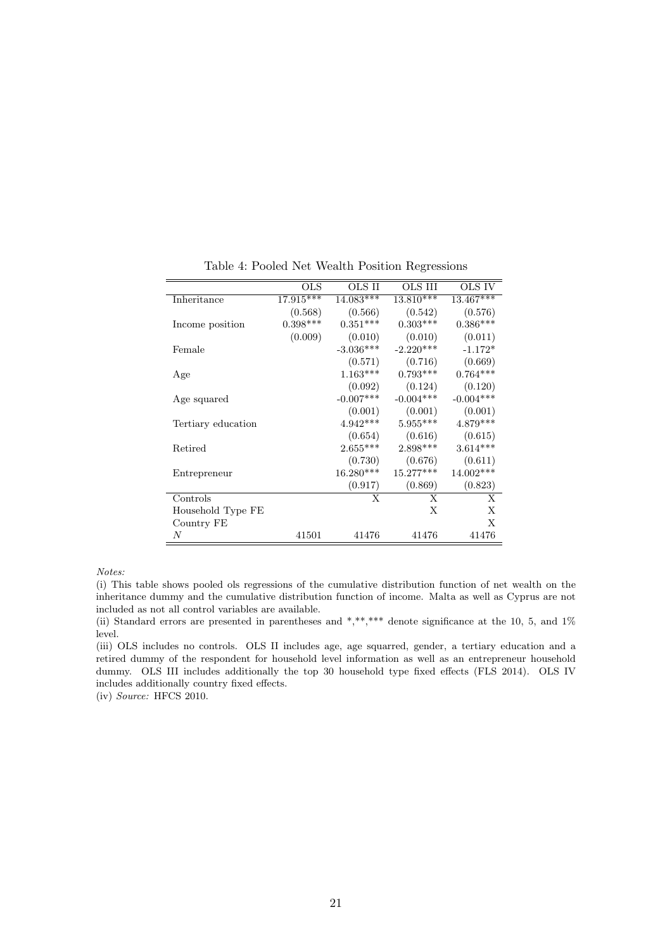<span id="page-20-0"></span>

|                    | $_{\rm OLS}$ | OLS II      | OLS III     | OLS IV      |
|--------------------|--------------|-------------|-------------|-------------|
| Inheritance        | $17.915***$  | 14.083***   | 13.810***   | $13.467***$ |
|                    | (0.568)      | (0.566)     | (0.542)     | (0.576)     |
| Income position    | $0.398***$   | $0.351***$  | $0.303***$  | $0.386***$  |
|                    | (0.009)      | (0.010)     | (0.010)     | (0.011)     |
| Female             |              | $-3.036***$ | $-2.220***$ | $-1.172*$   |
|                    |              | (0.571)     | (0.716)     | (0.669)     |
| Age                |              | $1.163***$  | $0.793***$  | $0.764***$  |
|                    |              | (0.092)     | (0.124)     | (0.120)     |
| Age squared        |              | $-0.007***$ | $-0.004***$ | $-0.004***$ |
|                    |              | (0.001)     | (0.001)     | (0.001)     |
| Tertiary education |              | $4.942***$  | $5.955***$  | $4.879***$  |
|                    |              | (0.654)     | (0.616)     | (0.615)     |
| Retired            |              | $2.655***$  | $2.898***$  | $3.614***$  |
|                    |              | (0.730)     | (0.676)     | (0.611)     |
| Entrepreneur       |              | 16.280***   | 15.277***   | $14.002***$ |
|                    |              | (0.917)     | (0.869)     | (0.823)     |
| Controls           |              | X           | X           | X           |
| Household Type FE  |              |             | X           | X           |
| Country FE         |              |             |             | X           |
| N                  | 41501        | 41476       | 41476       | 41476       |

Table 4: Pooled Net Wealth Position Regressions

Notes:

(i) This table shows pooled ols regressions of the cumulative distribution function of net wealth on the inheritance dummy and the cumulative distribution function of income. Malta as well as Cyprus are not included as not all control variables are available.

(ii) Standard errors are presented in parentheses and \*,\*\*,\*\*\* denote significance at the 10, 5, and 1% level.

(iii) OLS includes no controls. OLS II includes age, age squarred, gender, a tertiary education and a retired dummy of the respondent for household level information as well as an entrepreneur household dummy. OLS III includes additionally the top 30 household type fixed effects (FLS 2014). OLS IV includes additionally country fixed effects.

(iv) Source: HFCS 2010.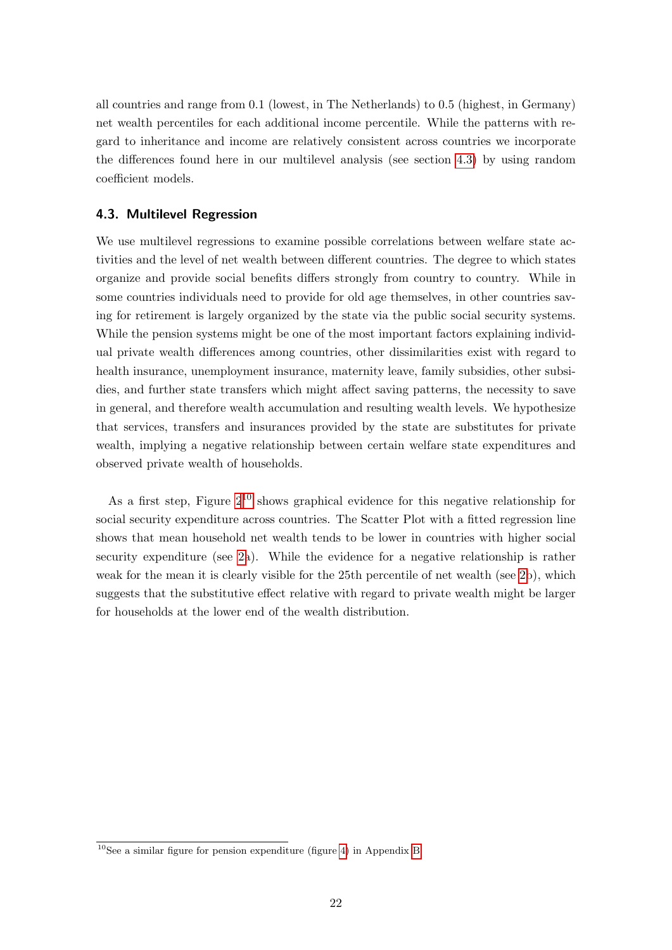all countries and range from 0.1 (lowest, in The Netherlands) to 0.5 (highest, in Germany) net wealth percentiles for each additional income percentile. While the patterns with regard to inheritance and income are relatively consistent across countries we incorporate the differences found here in our multilevel analysis (see section [4.3\)](#page-21-0) by using random coefficient models.

## <span id="page-21-0"></span>4.3. Multilevel Regression

We use multilevel regressions to examine possible correlations between welfare state activities and the level of net wealth between different countries. The degree to which states organize and provide social benefits differs strongly from country to country. While in some countries individuals need to provide for old age themselves, in other countries saving for retirement is largely organized by the state via the public social security systems. While the pension systems might be one of the most important factors explaining individual private wealth differences among countries, other dissimilarities exist with regard to health insurance, unemployment insurance, maternity leave, family subsidies, other subsidies, and further state transfers which might affect saving patterns, the necessity to save in general, and therefore wealth accumulation and resulting wealth levels. We hypothesize that services, transfers and insurances provided by the state are substitutes for private wealth, implying a negative relationship between certain welfare state expenditures and observed private wealth of households.

As a first step, Figure  $2^{10}$  $2^{10}$  $2^{10}$  shows graphical evidence for this negative relationship for social security expenditure across countries. The Scatter Plot with a fitted regression line shows that mean household net wealth tends to be lower in countries with higher social security expenditure (see [2a](#page-23-0)). While the evidence for a negative relationship is rather weak for the mean it is clearly visible for the 25th percentile of net wealth (see [2b](#page-23-0)), which suggests that the substitutive effect relative with regard to private wealth might be larger for households at the lower end of the wealth distribution.

<span id="page-21-1"></span> $10$ See a similar figure for pension expenditure (figure [4\)](#page-34-0) in Appendix [B](#page-34-1)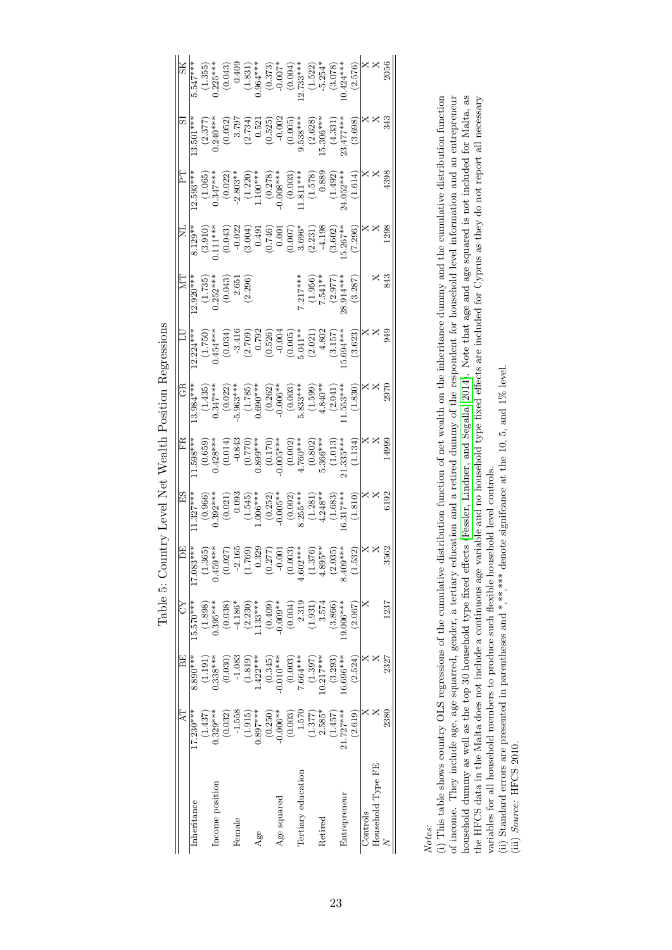<span id="page-22-0"></span>

| $rac{2}{1547**}$ |                                    |                     |                |                                                                                                                                                                                                                                                                                                                                                             |                        |                         |     |                       |             |                                                    |                    |         |            |         |              | $\begin{array}{l} (1.355) \\ (1.355) \\ (0.043) \\ (0.043) \\ (1.831) \\ (1.831) \\ (0.007^{***} \\ (1.323^{***} \\ (1.323^{***} \\ (1.323) \\ (2.323^{***} \\ (1.323) \\ (2.3078) \\ (2.3078) \\ (2.3078) \\ (2.3078) \\ (2.3078) \\ (2.3078) \\ (2.3078) \\ (2.3078) \\ (2.3078) \\ (2.3078) \\ (2.3078) \\ (2.3078) \\ ($                                                        |          | as<br>X<br>X<br>S                                                                |          |
|------------------|------------------------------------|---------------------|----------------|-------------------------------------------------------------------------------------------------------------------------------------------------------------------------------------------------------------------------------------------------------------------------------------------------------------------------------------------------------------|------------------------|-------------------------|-----|-----------------------|-------------|----------------------------------------------------|--------------------|---------|------------|---------|--------------|-------------------------------------------------------------------------------------------------------------------------------------------------------------------------------------------------------------------------------------------------------------------------------------------------------------------------------------------------------------------------------------|----------|----------------------------------------------------------------------------------|----------|
|                  |                                    |                     |                |                                                                                                                                                                                                                                                                                                                                                             |                        |                         |     |                       |             |                                                    |                    |         |            |         |              | $\begin{array}{r} \text{SI} \\ \text{IS.501***} \\ \text{0.240***} \\ \text{0.240***} \\ \text{0.521} \\ \text{0.537} \\ \text{0.522} \\ \text{0.538} \\ \text{0.539} \\ \text{0.539} \\ \text{0.538***} \\ \text{0.539} \\ \text{0.539} \\ \text{0.539} \\ \text{0.530} \\ \text{0.531} \\ \text{0.530} \\ \text{0.531} \\ \text{0.532} \\ \text{0.533} \\ \text{0.533} \\ \text{$ |          |                                                                                  |          |
|                  | $12.593***$                        |                     |                |                                                                                                                                                                                                                                                                                                                                                             |                        |                         |     |                       |             |                                                    |                    |         |            |         |              | $\begin{array}{c} (1.065) \\ 0.347^{***} \\ (0.022)^{*} \\ -2.803^{***} \\ (1.220) \\ (1.220) \\ (0.078) \\ (1.00^{***} \\ (1.578) \\ (1.578) \\ (1.578) \\ (1.4032^{***} \\ (1.492) \\ (1.492) \\ (1.492) \\ (1.492) \\ (1.492) \\ (1.403) \\ (1.403) \\ (1.403) \\ (1.403) \\ (1.403) \\ (1.403) \\ (1.403) \\ (1.403) \\ (1.$                                                    |          | $\frac{1}{2}$ $\times$ $\frac{1}{2}$                                             |          |
|                  |                                    |                     |                |                                                                                                                                                                                                                                                                                                                                                             |                        |                         |     |                       |             |                                                    |                    |         |            |         |              | $\begin{array}{r} \text{ML} \\ \text{M123**} \\ \text{M24**} \\ (3.912) \\ (3.912) \\ (3.912) \\ (3.912) \\ (3.912) \\ (3.912) \\ (3.912) \\ (3.912) \\ (3.912) \\ (3.912) \\ (3.912) \\ (3.912) \\ (3.912) \\ (3.912) \\ (3.912) \\ (3.912) \\ (3.912) \\ (3.912) \\ (3.912) \\ (3.912) \\ (3.912) \\ (3.912) \\ (3.912) \\ (3.9$                                                  |          | $\times\times\atop{\mathbb{S}}$                                                  |          |
|                  |                                    |                     |                | $\begin{array}{c} \mathrm{MT} \\ \hline 12.920^{***} \\ (1.735) \\ 0.252^{***} \\ (0.043) \\ (2.651) \\ (2.651) \\ \end{array}$                                                                                                                                                                                                                             |                        |                         |     |                       |             |                                                    |                    |         |            |         |              | $\begin{array}{l} 7.217*** \\ (1.956) \\ 7.541*** \\ (2.977) \\ (3.914*** \\ (3.287) \\ (3.287) \end{array}$                                                                                                                                                                                                                                                                        |          |                                                                                  | x 3<br>3 |
|                  |                                    |                     |                |                                                                                                                                                                                                                                                                                                                                                             |                        |                         |     |                       |             |                                                    |                    |         |            |         |              | $\begin{array}{r} \text{LU} \\ \text{12.224***} \\ \text{0.454***} \\ \text{0.454***} \\ \text{0.034)} \\ \text{0.034} \\ \text{0.035} \\ \text{0.050} \\ \text{0.050} \\ \text{0.050} \\ \text{0.005} \\ \text{0.005} \\ \text{0.006} \\ \text{0.007} \\ \text{0.007} \\ \text{0.008} \\ \text{0.009} \\ \text{0.000} \\ \text{0.001} \\ \text{0.003} \\ \text{0.003} \\ \text{$   |          | eg x x                                                                           |          |
|                  | $-3.984***$                        |                     |                |                                                                                                                                                                                                                                                                                                                                                             |                        |                         |     |                       |             |                                                    |                    |         |            |         |              | $\begin{array}{c} (1.435)\\ 0.347^{***} \\ 0.63^{***} \\ 5.963^{***} \\ 0.690^{***} \\ 0.690^{***} \\ 0.690^{***} \\ 0.690^{***} \\ 0.690^{***} \\ 0.691^{***} \\ 0.633^{***} \\ 0.533^{***} \\ 0.599) \\ 0.533^{***} \\ 0.533^{***} \\ 0.533^{***} \\ 0.533^{***} \\ 0.533^{***} \\ 0.533^{***} \\ 0.533^{***} \\ 0.533^{***} \\ 0.533^{***$                                       |          |                                                                                  |          |
|                  | $-1.598***$                        |                     |                |                                                                                                                                                                                                                                                                                                                                                             |                        |                         |     |                       |             |                                                    |                    |         |            |         |              | $\begin{array}{c} (0.659) \\ 0.428^{***} \\ (0.014) \\ (0.014) \\ (0.89^{***} \\ (0.770) \\ (0.170) \\ (0.014) \\ (0.014) \\ (0.014) \\ (0.014) \\ (0.0014) \\ (0.0014) \\ (0.002) \\ (0.0014) \\ (0.002) \\ (0.0014) \\ (0.0014) \\ (0.0014) \\ (0.0014) \\ (0.0014) \\ (0.0014) \\ (0.0014) \\ (0.0014) \\ (0.0014$                                                               |          | $\begin{array}{c} 666 \text{F1} \\ \text{X} \\ \text{X} \\ \text{X} \end{array}$ |          |
| ЕS               | $1.327***$                         |                     |                |                                                                                                                                                                                                                                                                                                                                                             |                        |                         |     |                       |             |                                                    |                    |         |            |         |              | $\begin{array}{c} (0.966)\\ 0.392^{***} \\ (0.021)\\ (1.545)\\ (1.66^{***} \\ (1.66^{***} \\ (0.252)\\ (0.253^{***} \\ (1.281)\\ (1.281)\\ (1.283)\\ (1.683)\\ (1.683)\\ (1.683)\\ (1.631)\\ (1.603)\\ (1.61)\\ (1.621)\\ (1.61)\\ (1.631)\\ (1.61)\\ (1.621)\\ (1.631)\\ (1.632)\\ (1.641)\\ (1.653)\\ (1$                                                                         |          | $\times$ X<br>$\times$ X<br>$\overline{\phantom{0}}$                             |          |
|                  | $\frac{DE}{\frac{1}{2}}$<br>17.083 | $(1.365)$<br>459*** | 0.459          | $\begin{array}{c} (0.027) \\ -2.165 \\ (1.769) \\ (0.329) \\ (0.277) \\ (0.003) \\ (.602*** \\ (.603*** \\ (.376) \\ (.376) \\ (.376) \\ (.303*** \\ (-0.035) \\ (.303*** \\ (-0.035) \\ (-0.035) \\ (-0.035) \\ (-0.035) \\ (-0.035) \\ (-0.035) \\ (-0.035) \\ (-0.035) \\ (-0.035) \\ (-0.035) \\ (-0.035) \\ (-0.035) \\ (-0.035) \\ (-0.035) \\ (-0.0$ |                        |                         |     |                       |             |                                                    |                    |         |            |         | 8.409        | (1.532)                                                                                                                                                                                                                                                                                                                                                                             |          | $\times \times \mathbb{S}^1$                                                     |          |
| č                | 15.570***                          | (1.898)             | $0.395***$     |                                                                                                                                                                                                                                                                                                                                                             | $(0.038)$<br>$-4.186*$ | $(2.230)$<br>133***     |     | $(0.409)$<br>0.009**  |             | (0.004)                                            | 2.319              | (1.931) | 3.574      | (3.866) | $9.006***$   | (2.067)                                                                                                                                                                                                                                                                                                                                                                             |          |                                                                                  | 1237     |
| F.               | 8.890 ***                          | (1.191)             | $0.338***$     | (0.030)                                                                                                                                                                                                                                                                                                                                                     | $-1.083$               | $(1.819)$<br>1.422***   |     |                       |             | $(0.345)$<br>$(0.010***$<br>$(0.003)$<br>$(0.003)$ |                    | (1.397) | $0.217***$ | (3.293) | $6.696***$   | (2.524)                                                                                                                                                                                                                                                                                                                                                                             |          |                                                                                  | 2327     |
| ₹                | $17.230***$                        | (1.437)             | $0.329***$     | (0.032)                                                                                                                                                                                                                                                                                                                                                     | $-1.558$               | $(1.915)$<br>$0.897***$ |     | $(0.250)$<br>-0.006** |             | (0.003)                                            | 1.570              | (1.377) | $2.585*$   | (1.457) | $21.727***$  | (2.619)                                                                                                                                                                                                                                                                                                                                                                             |          |                                                                                  | 2380     |
|                  | Inheritance                        |                     | ncome position |                                                                                                                                                                                                                                                                                                                                                             | Female                 |                         | Age |                       | Age squared |                                                    | Tertiary education |         | Retired    |         | Entrepreneur |                                                                                                                                                                                                                                                                                                                                                                                     | Controls | Household Type FE                                                                |          |

Table 5: Country Level Net Wealth Position Regressions Table 5: Country Level Net Wealth Position Regressions

of income. They include age, age squarred, gender, a tertiary education and a retired dummy of the respondent for household level information and an entrepreneur<br>household dummy as well as the top 30 household type fixed Notes:<br>(i) This table shows country OLS regressions of the cumulative distribution function of net wealth on the inheritance dummy and the cumulative distribution function (i) This table shows country OLS regressions of the cumulative distribution function of net wealth on the inheritance dummy and the cumulative distribution function of income. They include age, age squarred, gender, a tertiary education and a retired dummy of the respondent for household level information and an entrepreneur household dummy as well as the top 30 household type fixed effects [\(Fessler,](#page-31-10) Lindner, and Segalla, [2014\)](#page-31-10). Note that age and age squared is not included for Malta, as the HFCS data in the Malta does not include a continuous age variable and no household type fixed effects are included for Cyprus as they do not report all necessary where the contract matter and the properties of the properties and  $*$ ,  $*$ ,  $*$  and the properties are presented in parentheses and  $*$ ,  $*$ ,  $*$  denote significance at the 10, 5, and 1% level.<br>(ii) Standard errors are p variables for all household members to produce such flexible household level controls.

(ii) Standard errors are presented in parentheses and \*,\*\*,\* denote significance at the 10, 5, and 1% level.

(iii) Source: HFCS 2010.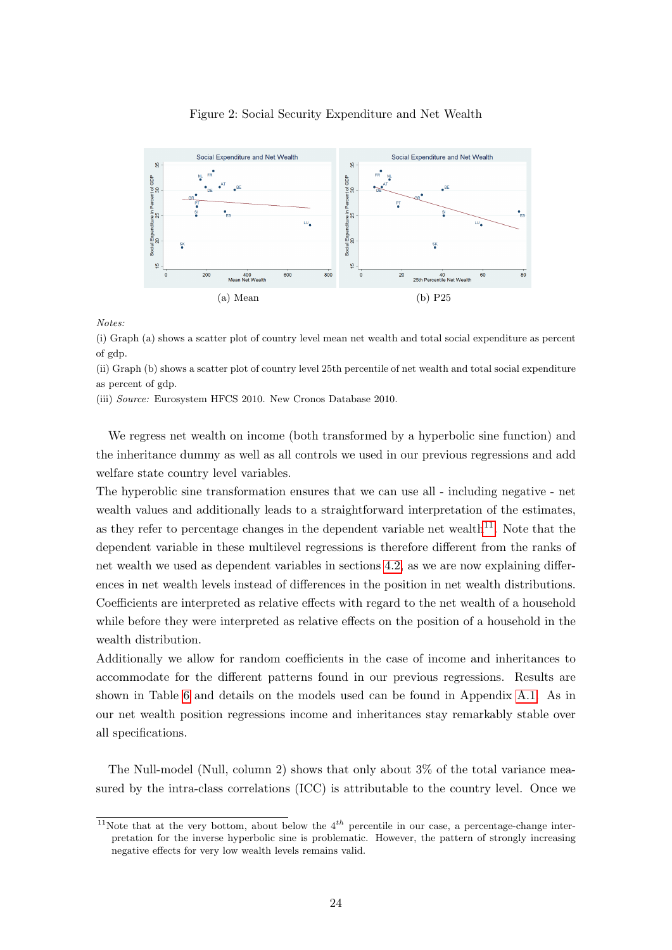

#### <span id="page-23-0"></span>Figure 2: Social Security Expenditure and Net Wealth

Notes:

(i) Graph (a) shows a scatter plot of country level mean net wealth and total social expenditure as percent of gdp.

(ii) Graph (b) shows a scatter plot of country level 25th percentile of net wealth and total social expenditure as percent of gdp.

(iii) Source: Eurosystem HFCS 2010. New Cronos Database 2010.

We regress net wealth on income (both transformed by a hyperbolic sine function) and the inheritance dummy as well as all controls we used in our previous regressions and add welfare state country level variables.

The hyperoblic sine transformation ensures that we can use all - including negative - net wealth values and additionally leads to a straightforward interpretation of the estimates, as they refer to percentage changes in the dependent variable net wealth<sup>[11](#page-23-1)</sup>. Note that the dependent variable in these multilevel regressions is therefore different from the ranks of net wealth we used as dependent variables in sections [4.2,](#page-17-0) as we are now explaining differences in net wealth levels instead of differences in the position in net wealth distributions. Coefficients are interpreted as relative effects with regard to the net wealth of a household while before they were interpreted as relative effects on the position of a household in the wealth distribution.

Additionally we allow for random coefficients in the case of income and inheritances to accommodate for the different patterns found in our previous regressions. Results are shown in Table [6](#page-24-0) and details on the models used can be found in Appendix [A.1.](#page-33-0) As in our net wealth position regressions income and inheritances stay remarkably stable over all specifications.

The Null-model (Null, column 2) shows that only about 3% of the total variance measured by the intra-class correlations (ICC) is attributable to the country level. Once we

<span id="page-23-1"></span><sup>&</sup>lt;sup>11</sup>Note that at the very bottom, about below the  $4^{th}$  percentile in our case, a percentage-change interpretation for the inverse hyperbolic sine is problematic. However, the pattern of strongly increasing negative effects for very low wealth levels remains valid.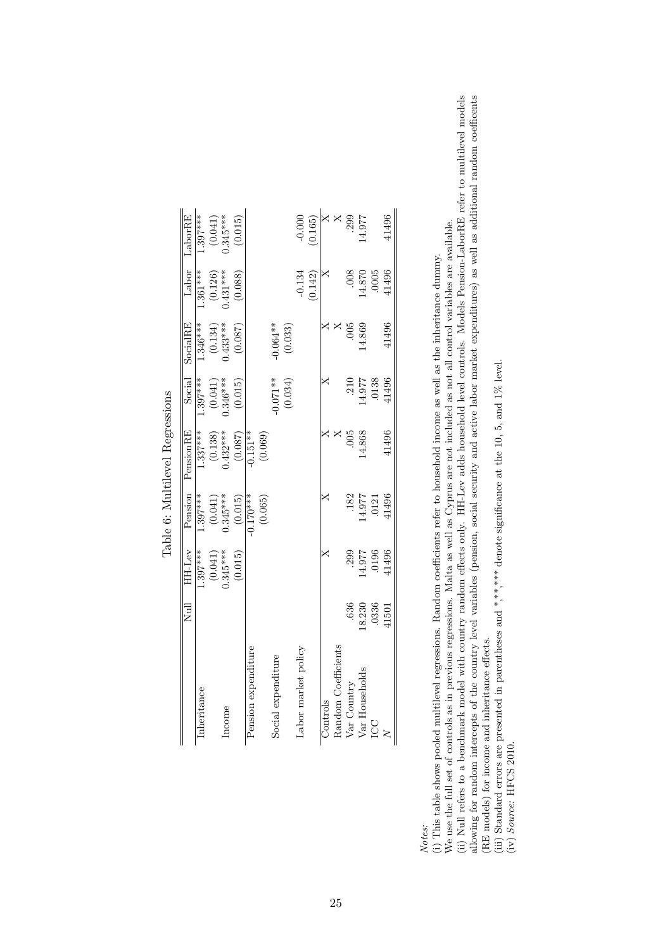<span id="page-24-0"></span>

|   | LaborRE   | $1.397***$  | $(0.041)$<br>0.345***   |        | (0.015) |                     |         |                    |         | $-0.000$            | (0.165) | ×        | X                   | .299        | 14.977         |        | 41496 |
|---|-----------|-------------|-------------------------|--------|---------|---------------------|---------|--------------------|---------|---------------------|---------|----------|---------------------|-------------|----------------|--------|-------|
|   | Labor     | $1.361***$  | $(0.126)$<br>0.431***   |        | (0.088) |                     |         |                    |         | $-0.134$            | (0.142) |          |                     | .008        | 14.870         | .0005  | 41496 |
|   | SocialRE  | $1.346***$  | $(0.134)$<br>$0.433***$ |        | (0.087) |                     |         | $-0.064**$         | (0.033) |                     |         |          |                     | .005        | 4.869          |        | 41496 |
|   | Social    | $1.397***$  | $(0.041)$<br>0.346***   |        | (0.015) |                     |         | $-0.071**$         | (0.034) |                     |         |          |                     | .210        | 4.977          | .0138  | 41496 |
| þ | PensionRE | $1.337***$  | $(0.138)$<br>$0.432***$ |        | (0.087) | $0.151***$          | (0.069) |                    |         |                     |         |          |                     | .005        | 14.868         |        | 41496 |
|   | Pension   | $1.397***$  | $(0.041)$<br>$0.345***$ |        | (0.015) | $0.170***$          | (0.065) |                    |         |                     |         |          |                     | .182        | 14.977         | $0121$ | 41496 |
|   | HH-Lev    | $1.397***$  | $(0.041)$<br>$0.345***$ |        | (0.015) |                     |         |                    |         |                     |         |          |                     | .299        | 4.977          | .0196  | 41496 |
|   | Null      |             |                         |        |         |                     |         |                    |         |                     |         |          |                     | .636        | 18.230         | .0336  | 41501 |
|   |           | Inheritance |                         | Income |         | Pension expenditure |         | Social expenditure |         | Labor market policy |         | Controls | Random Coefficients | Var Country | Var Households | CC     |       |

Table 6: Multilevel Regressions Table 6: Multilevel Regressions

Notes:<br>(i) This table shows pooled multilevel regressions. Random coefficients refer to household income as well as the inheritance dummy. (i) This table shows pooled multilevel regressions. Random coefficients refer to household income as well as the inheritance dummy.

We use the full set of controls as in previous regressions. Malta as well as Cyprus are not included as not all control variables are available. We use the full set of controls as in previous regressions. Malta as well as Cyprus are not included as not all control variables are available.

(ii) Null refers to a benchmark model with country random effects only. HH-Lev adds household level controls. Models Pension-LaborRE refer to multilevel models allowing for random intercepts of the country level variables (pension, social security and active labor market expenditures) as well as additional random coefficents (ii) Null refers to a benchmark model with country random effects only. HH-Lev adds household level controls. Models Pension-LaborRE refer to multilevel models allowing for random intercepts of the country level variables (pension, social security and active labor market expenditures) as well as additional random coefficents (RE models) for income and inheritance effects. (RE models) for income and inheritance effects.

(iii) Standard errors are presented in parentheses and \*,\*\*,\*\*\* denote significance at the 10, 5, and 1% level.<br>(iv) Source: HFCS 2010. (iii) Standard errors are presented in parentheses and \*,\*\*,\* denote significance at the 10, 5, and 1% level.

(iv) Source: HFCS 2010.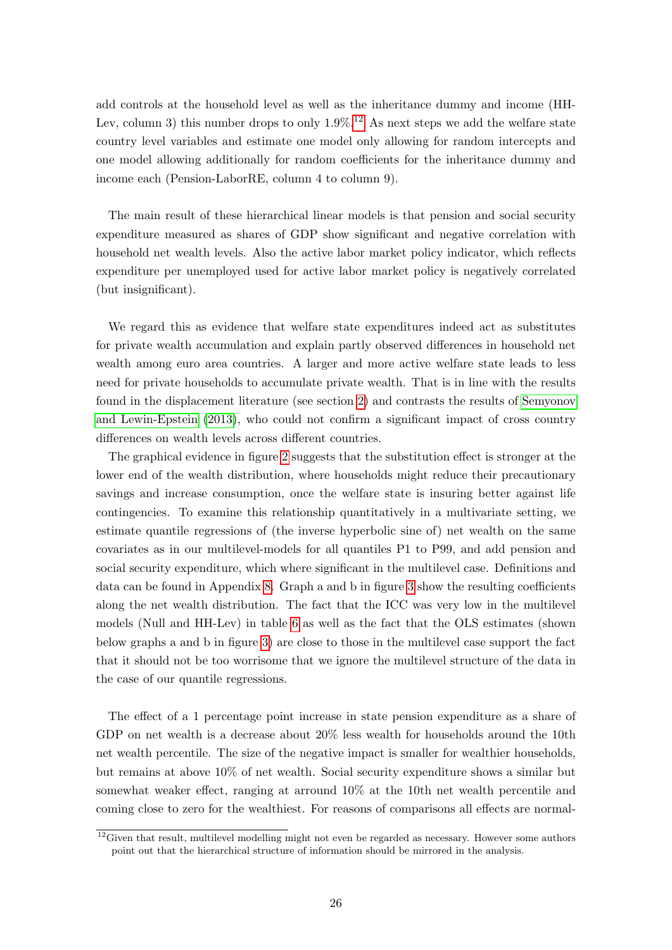add controls at the household level as well as the inheritance dummy and income (HH-Lev, column 3) this number drops to only  $1.9\%$ .<sup>[12](#page-25-0)</sup> As next steps we add the welfare state country level variables and estimate one model only allowing for random intercepts and one model allowing additionally for random coefficients for the inheritance dummy and income each (Pension-LaborRE, column 4 to column 9).

The main result of these hierarchical linear models is that pension and social security expenditure measured as shares of GDP show significant and negative correlation with household net wealth levels. Also the active labor market policy indicator, which reflects expenditure per unemployed used for active labor market policy is negatively correlated (but insignificant).

We regard this as evidence that welfare state expenditures indeed act as substitutes for private wealth accumulation and explain partly observed differences in household net wealth among euro area countries. A larger and more active welfare state leads to less need for private households to accumulate private wealth. That is in line with the results found in the displacement literature (see section [2\)](#page-5-0) and contrasts the results of [Semyonov](#page-32-4) [and Lewin-Epstein](#page-32-4) [\(2013\)](#page-32-4), who could not confirm a significant impact of cross country differences on wealth levels across different countries.

The graphical evidence in figure [2](#page-23-0) suggests that the substitution effect is stronger at the lower end of the wealth distribution, where households might reduce their precautionary savings and increase consumption, once the welfare state is insuring better against life contingencies. To examine this relationship quantitatively in a multivariate setting, we estimate quantile regressions of (the inverse hyperbolic sine of) net wealth on the same covariates as in our multilevel-models for all quantiles P1 to P99, and add pension and social security expenditure, which where significant in the multilevel case. Definitions and data can be found in Appendix [8.](#page-35-0) Graph a and b in figure [3](#page-26-0) show the resulting coefficients along the net wealth distribution. The fact that the ICC was very low in the multilevel models (Null and HH-Lev) in table [6](#page-24-0) as well as the fact that the OLS estimates (shown below graphs a and b in figure [3\)](#page-26-0) are close to those in the multilevel case support the fact that it should not be too worrisome that we ignore the multilevel structure of the data in the case of our quantile regressions.

The effect of a 1 percentage point increase in state pension expenditure as a share of GDP on net wealth is a decrease about 20% less wealth for households around the 10th net wealth percentile. The size of the negative impact is smaller for wealthier households, but remains at above 10% of net wealth. Social security expenditure shows a similar but somewhat weaker effect, ranging at arround 10% at the 10th net wealth percentile and coming close to zero for the wealthiest. For reasons of comparisons all effects are normal-

<span id="page-25-0"></span> $12$ Given that result, multilevel modelling might not even be regarded as necessary. However some authors point out that the hierarchical structure of information should be mirrored in the analysis.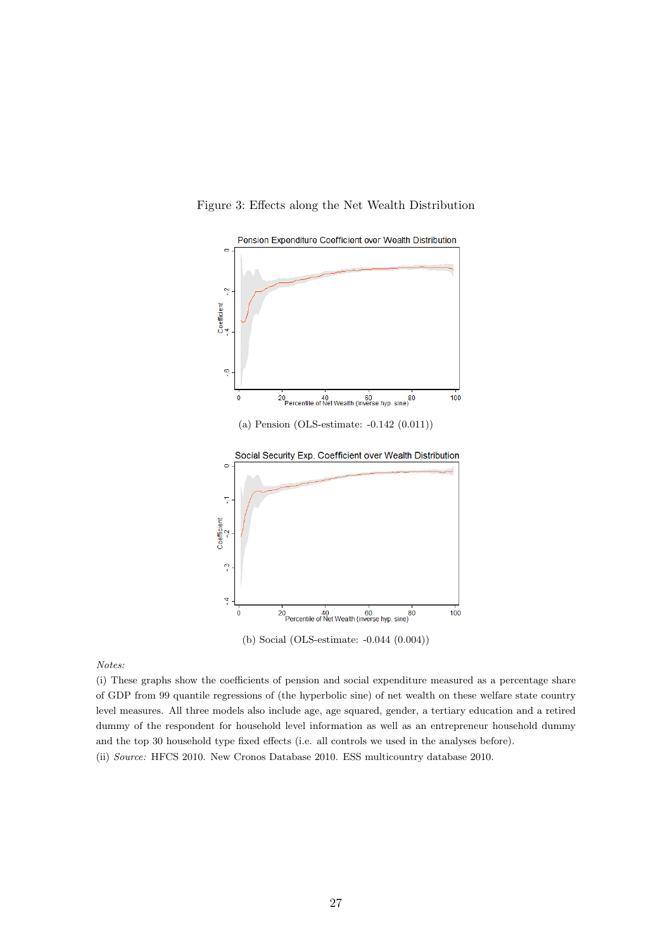<span id="page-26-0"></span>

Figure 3: Effects along the Net Wealth Distribution

(b) Social (OLS-estimate: -0.044 (0.004))

Notes:

(i) These graphs show the coefficients of pension and social expenditure measured as a percentage share of GDP from 99 quantile regressions of (the hyperbolic sine) of net wealth on these welfare state country level measures. All three models also include age, age squared, gender, a tertiary education and a retired dummy of the respondent for household level information as well as an entrepreneur household dummy and the top 30 household type fixed effects (i.e. all controls we used in the analyses before). (ii) Source: HFCS 2010. New Cronos Database 2010. ESS multicountry database 2010.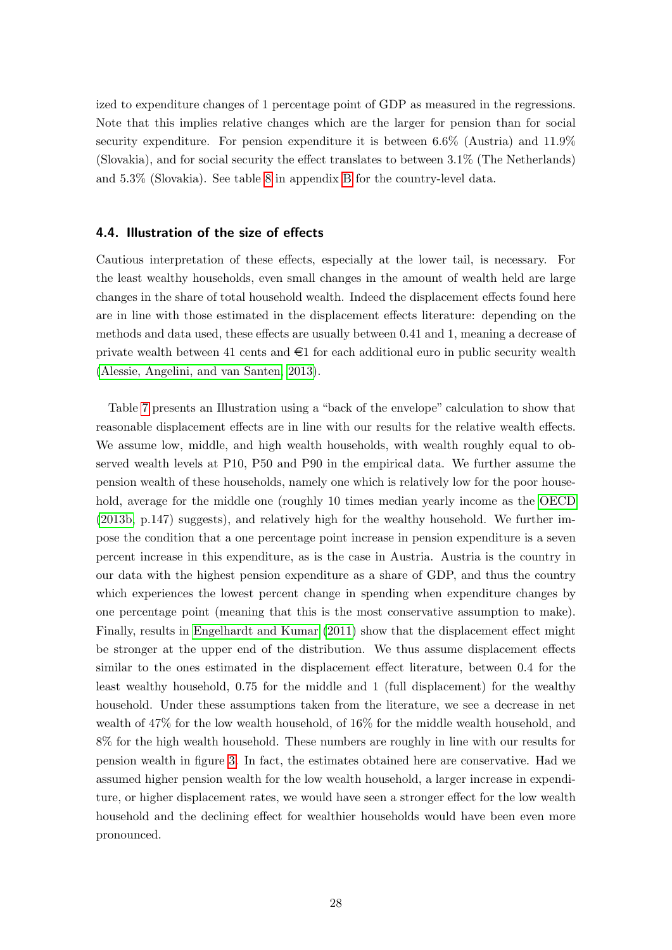ized to expenditure changes of 1 percentage point of GDP as measured in the regressions. Note that this implies relative changes which are the larger for pension than for social security expenditure. For pension expenditure it is between 6.6% (Austria) and 11.9% (Slovakia), and for social security the effect translates to between 3.1% (The Netherlands) and 5.3% (Slovakia). See table [8](#page-35-0) in appendix [B](#page-34-1) for the country-level data.

#### 4.4. Illustration of the size of effects

Cautious interpretation of these effects, especially at the lower tail, is necessary. For the least wealthy households, even small changes in the amount of wealth held are large changes in the share of total household wealth. Indeed the displacement effects found here are in line with those estimated in the displacement effects literature: depending on the methods and data used, these effects are usually between 0.41 and 1, meaning a decrease of private wealth between 41 cents and  $\in$ 1 for each additional euro in public security wealth [\(Alessie, Angelini, and van Santen, 2013\)](#page-31-3).

Table [7](#page-28-0) presents an Illustration using a "back of the envelope" calculation to show that reasonable displacement effects are in line with our results for the relative wealth effects. We assume low, middle, and high wealth households, with wealth roughly equal to observed wealth levels at P10, P50 and P90 in the empirical data. We further assume the pension wealth of these households, namely one which is relatively low for the poor household, average for the middle one (roughly 10 times median yearly income as the [OECD](#page-32-15) [\(2013b,](#page-32-15) p.147) suggests), and relatively high for the wealthy household. We further impose the condition that a one percentage point increase in pension expenditure is a seven percent increase in this expenditure, as is the case in Austria. Austria is the country in our data with the highest pension expenditure as a share of GDP, and thus the country which experiences the lowest percent change in spending when expenditure changes by one percentage point (meaning that this is the most conservative assumption to make). Finally, results in [Engelhardt and Kumar](#page-31-0) [\(2011\)](#page-31-0) show that the displacement effect might be stronger at the upper end of the distribution. We thus assume displacement effects similar to the ones estimated in the displacement effect literature, between 0.4 for the least wealthy household, 0.75 for the middle and 1 (full displacement) for the wealthy household. Under these assumptions taken from the literature, we see a decrease in net wealth of 47% for the low wealth household, of 16% for the middle wealth household, and 8% for the high wealth household. These numbers are roughly in line with our results for pension wealth in figure [3.](#page-26-0) In fact, the estimates obtained here are conservative. Had we assumed higher pension wealth for the low wealth household, a larger increase in expenditure, or higher displacement rates, we would have seen a stronger effect for the low wealth household and the declining effect for wealthier households would have been even more pronounced.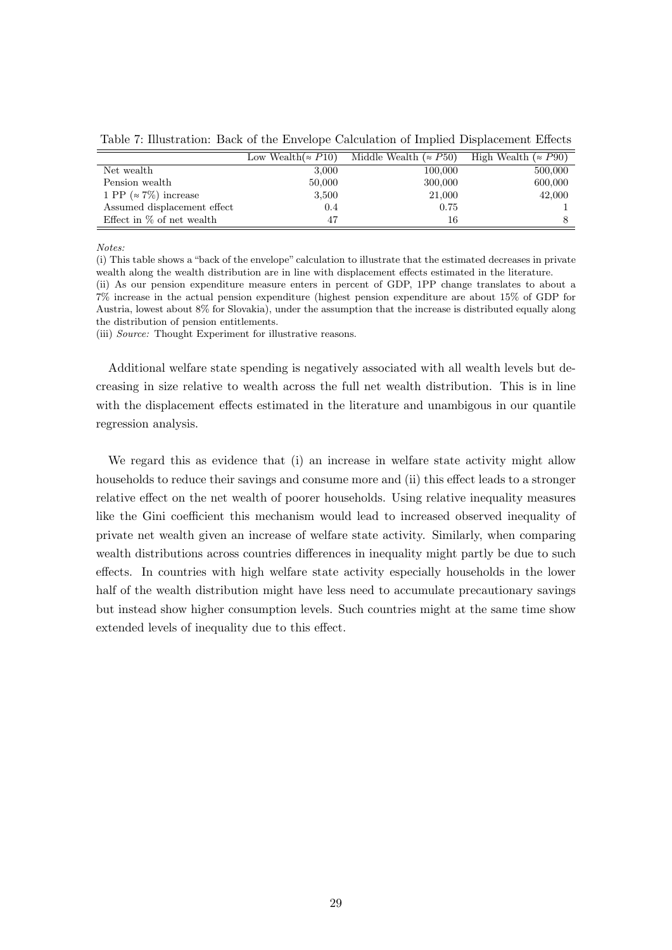<span id="page-28-0"></span>Table 7: Illustration: Back of the Envelope Calculation of Implied Displacement Effects

|                               | Low Wealth( $\approx$ P10) | Middle Wealth ( $\approx$ P50) | High Wealth ( $\approx$ P90) |
|-------------------------------|----------------------------|--------------------------------|------------------------------|
| Net wealth                    | 3,000                      | 100,000                        | 500,000                      |
| Pension wealth                | 50,000                     | 300,000                        | 600,000                      |
| 1 PP ( $\approx$ 7%) increase | 3,500                      | 21,000                         | 42,000                       |
| Assumed displacement effect   | 0.4                        | 0.75                           |                              |
| Effect in $\%$ of net wealth  | 47                         | 16                             |                              |

Notes:

(i) This table shows a "back of the envelope" calculation to illustrate that the estimated decreases in private wealth along the wealth distribution are in line with displacement effects estimated in the literature.

(ii) As our pension expenditure measure enters in percent of GDP, 1PP change translates to about a 7% increase in the actual pension expenditure (highest pension expenditure are about 15% of GDP for Austria, lowest about 8% for Slovakia), under the assumption that the increase is distributed equally along the distribution of pension entitlements.

(iii) Source: Thought Experiment for illustrative reasons.

Additional welfare state spending is negatively associated with all wealth levels but decreasing in size relative to wealth across the full net wealth distribution. This is in line with the displacement effects estimated in the literature and unambigous in our quantile regression analysis.

We regard this as evidence that (i) an increase in welfare state activity might allow households to reduce their savings and consume more and (ii) this effect leads to a stronger relative effect on the net wealth of poorer households. Using relative inequality measures like the Gini coefficient this mechanism would lead to increased observed inequality of private net wealth given an increase of welfare state activity. Similarly, when comparing wealth distributions across countries differences in inequality might partly be due to such effects. In countries with high welfare state activity especially households in the lower half of the wealth distribution might have less need to accumulate precautionary savings but instead show higher consumption levels. Such countries might at the same time show extended levels of inequality due to this effect.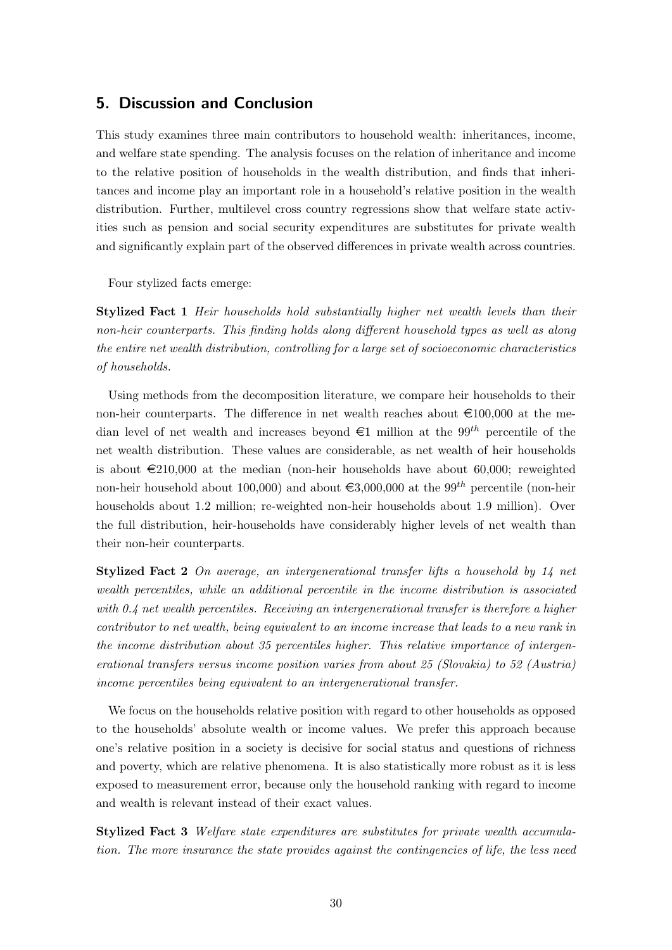## <span id="page-29-0"></span>5. Discussion and Conclusion

This study examines three main contributors to household wealth: inheritances, income, and welfare state spending. The analysis focuses on the relation of inheritance and income to the relative position of households in the wealth distribution, and finds that inheritances and income play an important role in a household's relative position in the wealth distribution. Further, multilevel cross country regressions show that welfare state activities such as pension and social security expenditures are substitutes for private wealth and significantly explain part of the observed differences in private wealth across countries.

Four stylized facts emerge:

**Stylized Fact 1** Heir households hold substantially higher net wealth levels than their non-heir counterparts. This finding holds along different household types as well as along the entire net wealth distribution, controlling for a large set of socioeconomic characteristics of households.

Using methods from the decomposition literature, we compare heir households to their non-heir counterparts. The difference in net wealth reaches about  $\epsilon$ 100,000 at the median level of net wealth and increases beyond  $\epsilon$ 1 million at the 99<sup>th</sup> percentile of the net wealth distribution. These values are considerable, as net wealth of heir households is about  $\epsilon$ 210,000 at the median (non-heir households have about 60,000; reweighted non-heir household about 100,000) and about  $\epsilon$ 3,000,000 at the 99<sup>th</sup> percentile (non-heir households about 1.2 million; re-weighted non-heir households about 1.9 million). Over the full distribution, heir-households have considerably higher levels of net wealth than their non-heir counterparts.

Stylized Fact 2 On average, an intergenerational transfer lifts a household by 14 net wealth percentiles, while an additional percentile in the income distribution is associated with 0.4 net wealth percentiles. Receiving an intergenerational transfer is therefore a higher contributor to net wealth, being equivalent to an income increase that leads to a new rank in the income distribution about 35 percentiles higher. This relative importance of intergenerational transfers versus income position varies from about 25 (Slovakia) to 52 (Austria) income percentiles being equivalent to an intergenerational transfer.

We focus on the households relative position with regard to other households as opposed to the households' absolute wealth or income values. We prefer this approach because one's relative position in a society is decisive for social status and questions of richness and poverty, which are relative phenomena. It is also statistically more robust as it is less exposed to measurement error, because only the household ranking with regard to income and wealth is relevant instead of their exact values.

Stylized Fact 3 Welfare state expenditures are substitutes for private wealth accumulation. The more insurance the state provides against the contingencies of life, the less need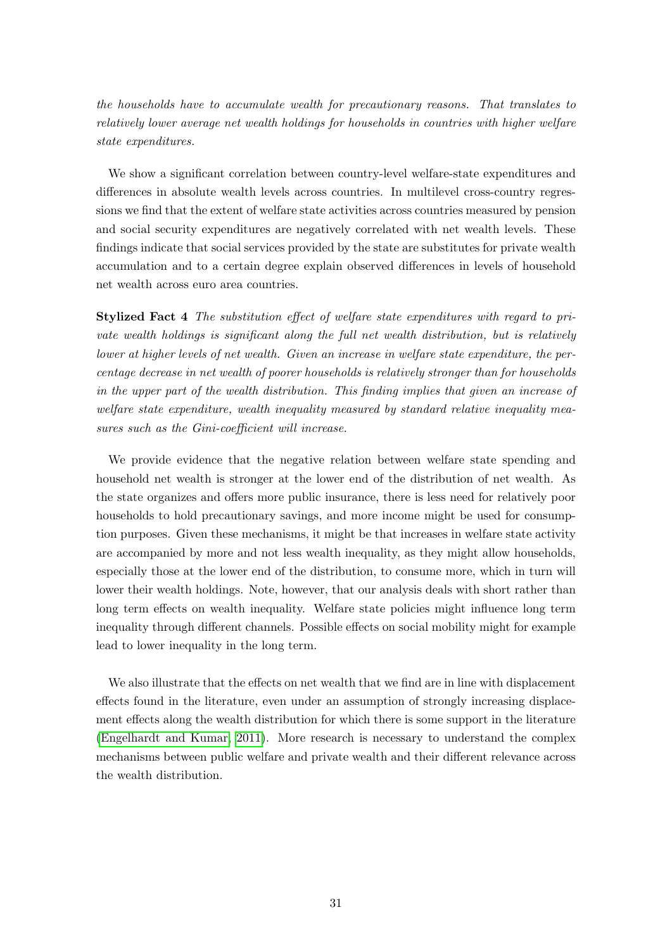the households have to accumulate wealth for precautionary reasons. That translates to relatively lower average net wealth holdings for households in countries with higher welfare state expenditures.

We show a significant correlation between country-level welfare-state expenditures and differences in absolute wealth levels across countries. In multilevel cross-country regressions we find that the extent of welfare state activities across countries measured by pension and social security expenditures are negatively correlated with net wealth levels. These findings indicate that social services provided by the state are substitutes for private wealth accumulation and to a certain degree explain observed differences in levels of household net wealth across euro area countries.

Stylized Fact 4 The substitution effect of welfare state expenditures with regard to private wealth holdings is significant along the full net wealth distribution, but is relatively lower at higher levels of net wealth. Given an increase in welfare state expenditure, the percentage decrease in net wealth of poorer households is relatively stronger than for households in the upper part of the wealth distribution. This finding implies that given an increase of welfare state expenditure, wealth inequality measured by standard relative inequality measures such as the Gini-coefficient will increase.

We provide evidence that the negative relation between welfare state spending and household net wealth is stronger at the lower end of the distribution of net wealth. As the state organizes and offers more public insurance, there is less need for relatively poor households to hold precautionary savings, and more income might be used for consumption purposes. Given these mechanisms, it might be that increases in welfare state activity are accompanied by more and not less wealth inequality, as they might allow households, especially those at the lower end of the distribution, to consume more, which in turn will lower their wealth holdings. Note, however, that our analysis deals with short rather than long term effects on wealth inequality. Welfare state policies might influence long term inequality through different channels. Possible effects on social mobility might for example lead to lower inequality in the long term.

We also illustrate that the effects on net wealth that we find are in line with displacement effects found in the literature, even under an assumption of strongly increasing displacement effects along the wealth distribution for which there is some support in the literature [\(Engelhardt and Kumar, 2011\)](#page-31-0). More research is necessary to understand the complex mechanisms between public welfare and private wealth and their different relevance across the wealth distribution.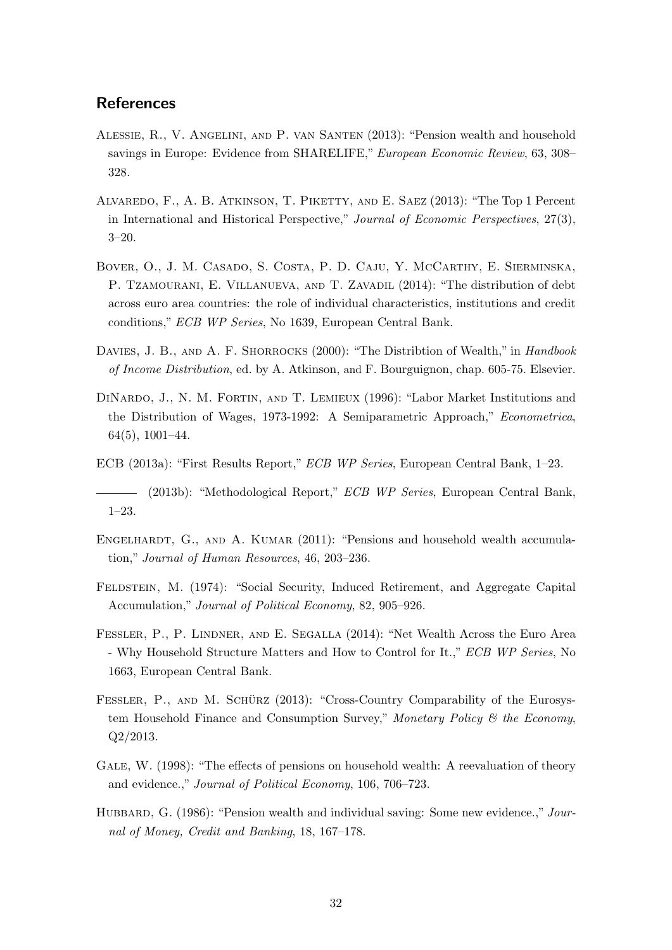## **References**

- <span id="page-31-3"></span>Alessie, R., V. Angelini, and P. van Santen (2013): "Pension wealth and household savings in Europe: Evidence from SHARELIFE," European Economic Review, 63, 308– 328.
- <span id="page-31-1"></span>Alvaredo, F., A. B. Atkinson, T. Piketty, and E. Saez (2013): "The Top 1 Percent in International and Historical Perspective," Journal of Economic Perspectives, 27(3), 3–20.
- <span id="page-31-11"></span>Bover, O., J. M. Casado, S. Costa, P. D. Caju, Y. McCarthy, E. Sierminska, P. TZAMOURANI, E. VILLANUEVA, AND T. ZAVADIL (2014): "The distribution of debt across euro area countries: the role of individual characteristics, institutions and credit conditions," ECB WP Series, No 1639, European Central Bank.
- <span id="page-31-4"></span>DAVIES, J. B., AND A. F. SHORROCKS (2000): "The Distribtion of Wealth," in *Handbook* of Income Distribution, ed. by A. Atkinson, and F. Bourguignon, chap. 605-75. Elsevier.
- <span id="page-31-12"></span>DINARDO, J., N. M. FORTIN, AND T. LEMIEUX (1996): "Labor Market Institutions and the Distribution of Wages, 1973-1992: A Semiparametric Approach," Econometrica, 64(5), 1001–44.
- <span id="page-31-9"></span>ECB (2013a): "First Results Report," ECB WP Series, European Central Bank, 1–23.
- <span id="page-31-7"></span>(2013b): "Methodological Report," ECB WP Series, European Central Bank, 1–23.
- <span id="page-31-0"></span>ENGELHARDT, G., AND A. KUMAR (2011): "Pensions and household wealth accumulation," Journal of Human Resources, 46, 203–236.
- <span id="page-31-2"></span>FELDSTEIN, M. (1974): "Social Security, Induced Retirement, and Aggregate Capital Accumulation," Journal of Political Economy, 82, 905–926.
- <span id="page-31-10"></span>Fessler, P., P. Lindner, and E. Segalla (2014): "Net Wealth Across the Euro Area - Why Household Structure Matters and How to Control for It.," ECB WP Series, No 1663, European Central Bank.
- <span id="page-31-8"></span>FESSLER, P., AND M. SCHÜRZ (2013): "Cross-Country Comparability of the Eurosystem Household Finance and Consumption Survey," Monetary Policy  $\mathcal{C}$  the Economy, Q2/2013.
- <span id="page-31-6"></span>GALE, W. (1998): "The effects of pensions on household wealth: A reevaluation of theory and evidence.," Journal of Political Economy, 106, 706–723.
- <span id="page-31-5"></span>HUBBARD, G. (1986): "Pension wealth and individual saving: Some new evidence.," Journal of Money, Credit and Banking, 18, 167–178.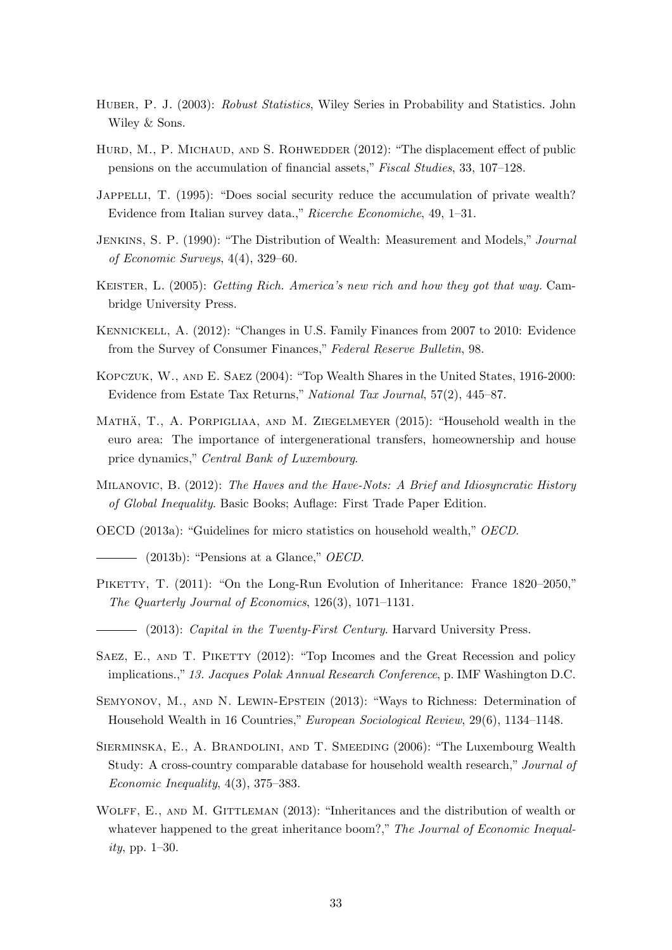- <span id="page-32-14"></span>HUBER, P. J. (2003): Robust Statistics, Wiley Series in Probability and Statistics. John Wiley & Sons.
- <span id="page-32-11"></span>HURD, M., P. MICHAUD, AND S. ROHWEDDER (2012): "The displacement effect of public pensions on the accumulation of financial assets," Fiscal Studies, 33, 107–128.
- <span id="page-32-5"></span>JAPPELLI, T. (1995): "Does social security reduce the accumulation of private wealth? Evidence from Italian survey data.," Ricerche Economiche, 49, 1–31.
- <span id="page-32-6"></span>Jenkins, S. P. (1990): "The Distribution of Wealth: Measurement and Models," Journal of Economic Surveys, 4(4), 329–60.
- <span id="page-32-12"></span>KEISTER, L. (2005): Getting Rich. America's new rich and how they got that way. Cambridge University Press.
- <span id="page-32-8"></span>Kennickell, A. (2012): "Changes in U.S. Family Finances from 2007 to 2010: Evidence from the Survey of Consumer Finances," Federal Reserve Bulletin, 98.
- <span id="page-32-2"></span>Kopczuk, W., and E. Saez (2004): "Top Wealth Shares in the United States, 1916-2000: Evidence from Estate Tax Returns," National Tax Journal, 57(2), 445–87.
- MATHÄ, T., A. PORPIGLIAA, AND M. ZIEGELMEYER (2015): "Household wealth in the euro area: The importance of intergenerational transfers, homeownership and house price dynamics," Central Bank of Luxembourg.
- <span id="page-32-13"></span>MILANOVIC, B. (2012): The Haves and the Have-Nots: A Brief and Idiosyncratic History of Global Inequality. Basic Books; Auflage: First Trade Paper Edition.
- <span id="page-32-10"></span>OECD (2013a): "Guidelines for micro statistics on household wealth," OECD.
- <span id="page-32-15"></span> $-$  (2013b): "Pensions at a Glance," *OECD*.
- <span id="page-32-1"></span><span id="page-32-0"></span>PIKETTY, T. (2011): "On the Long-Run Evolution of Inheritance: France 1820–2050," The Quarterly Journal of Economics, 126(3), 1071–1131.
	- $-$  (2013): *Capital in the Twenty-First Century*. Harvard University Press.
- <span id="page-32-9"></span>SAEZ, E., AND T. PIKETTY (2012): "Top Incomes and the Great Recession and policy implications.," 13. Jacques Polak Annual Research Conference, p. IMF Washington D.C.
- <span id="page-32-4"></span>Semyonov, M., and N. Lewin-Epstein (2013): "Ways to Richness: Determination of Household Wealth in 16 Countries," European Sociological Review, 29(6), 1134–1148.
- <span id="page-32-7"></span>Sierminska, E., A. Brandolini, and T. Smeeding (2006): "The Luxembourg Wealth Study: A cross-country comparable database for household wealth research," Journal of Economic Inequality, 4(3), 375–383.
- <span id="page-32-3"></span>WOLFF, E., AND M. GITTLEMAN (2013): "Inheritances and the distribution of wealth or whatever happened to the great inheritance boom?," The Journal of Economic Inequality, pp. 1–30.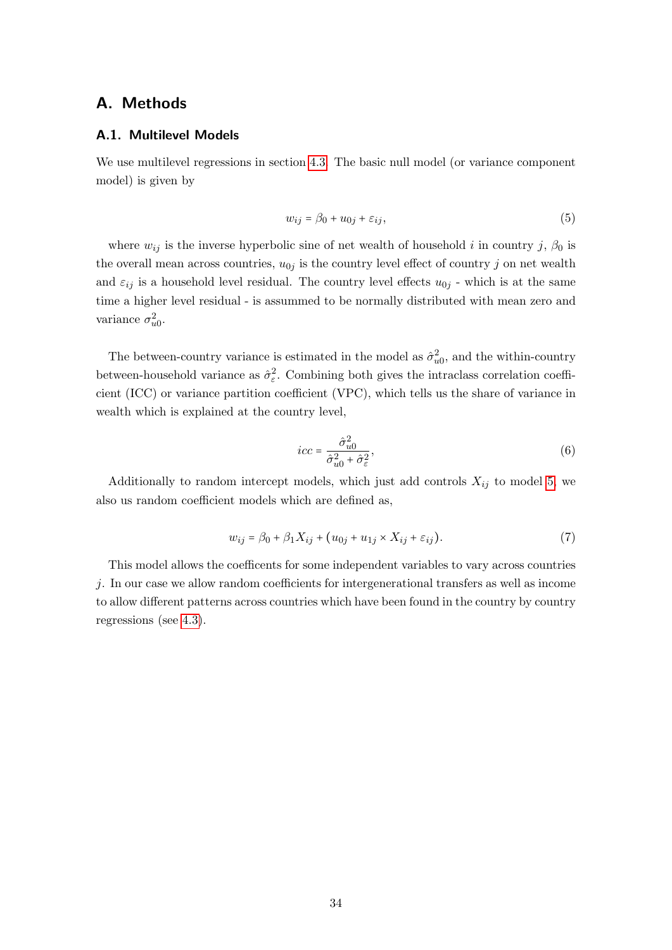## A. Methods

#### <span id="page-33-0"></span>A.1. Multilevel Models

We use multilevel regressions in section [4.3.](#page-21-0) The basic null model (or variance component model) is given by

<span id="page-33-1"></span>
$$
w_{ij} = \beta_0 + u_{0j} + \varepsilon_{ij},\tag{5}
$$

where  $w_{ij}$  is the inverse hyperbolic sine of net wealth of household i in country j,  $\beta_0$  is the overall mean across countries,  $u_{0j}$  is the country level effect of country j on net wealth and  $\varepsilon_{ij}$  is a household level residual. The country level effects  $u_{0j}$  - which is at the same time a higher level residual - is assummed to be normally distributed with mean zero and variance  $\sigma_{u0}^2$ .

The between-country variance is estimated in the model as  $\hat{\sigma}_{u0}^2$ , and the within-country between-household variance as  $\hat{\sigma}_{\varepsilon}^2$ . Combining both gives the intraclass correlation coefficient (ICC) or variance partition coefficient (VPC), which tells us the share of variance in wealth which is explained at the country level,

$$
icc = \frac{\hat{\sigma}_{u0}^2}{\hat{\sigma}_{u0}^2 + \hat{\sigma}_{\varepsilon}^2},\tag{6}
$$

Additionally to random intercept models, which just add controls  $X_{ij}$  to model [5,](#page-33-1) we also us random coefficient models which are defined as,

$$
w_{ij} = \beta_0 + \beta_1 X_{ij} + (u_{0j} + u_{1j} \times X_{ij} + \varepsilon_{ij}).
$$
\n(7)

This model allows the coefficents for some independent variables to vary across countries j. In our case we allow random coefficients for intergenerational transfers as well as income to allow different patterns across countries which have been found in the country by country regressions (see [4.3\)](#page-21-0).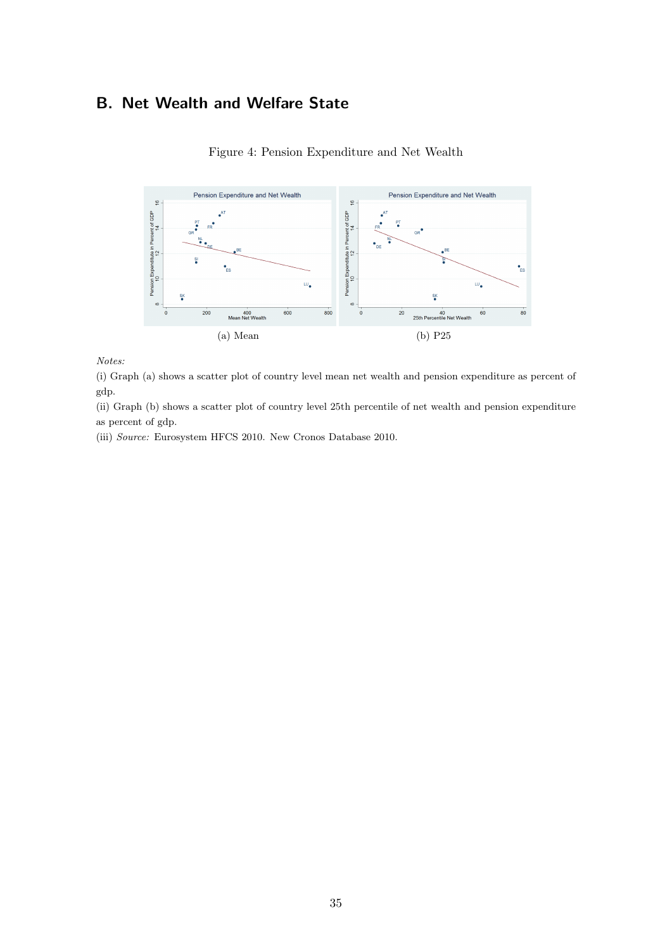## <span id="page-34-1"></span>B. Net Wealth and Welfare State



<span id="page-34-0"></span>Figure 4: Pension Expenditure and Net Wealth

Notes:

(i) Graph (a) shows a scatter plot of country level mean net wealth and pension expenditure as percent of gdp.

(ii) Graph (b) shows a scatter plot of country level 25th percentile of net wealth and pension expenditure as percent of gdp.

(iii) Source: Eurosystem HFCS 2010. New Cronos Database 2010.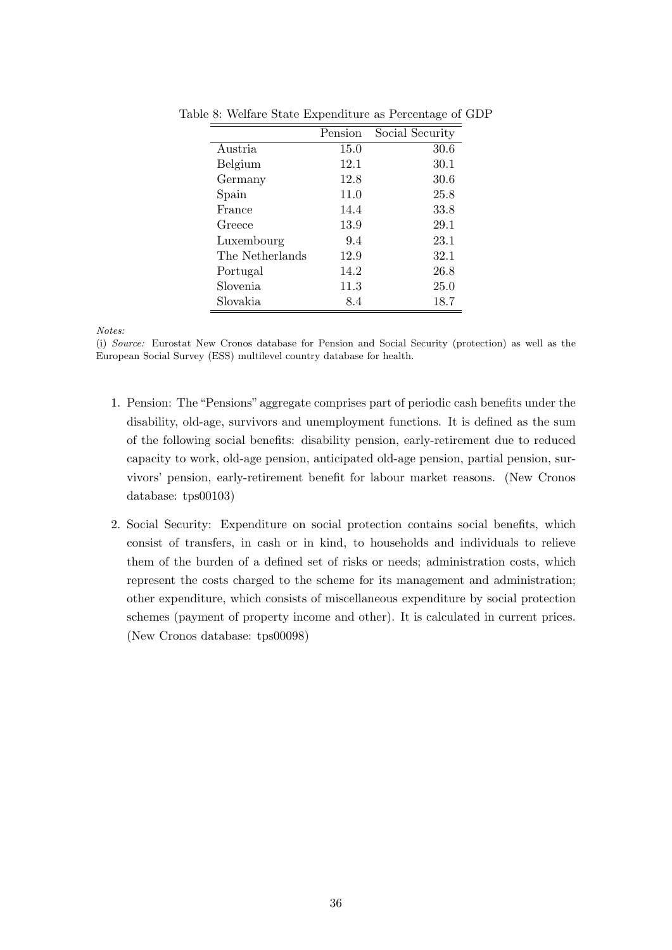|                 | Pension | Social Security |
|-----------------|---------|-----------------|
| Austria         | 15.0    | 30.6            |
| Belgium         | 12.1    | 30.1            |
| Germany         | 12.8    | 30.6            |
| Spain           | 11.0    | 25.8            |
| France          | 14.4    | 33.8            |
| Greece          | 13.9    | 29.1            |
| Luxembourg      | 9.4     | 23.1            |
| The Netherlands | 12.9    | 32.1            |
| Portugal        | 14.2    | 26.8            |
| Slovenia        | 11.3    | 25.0            |
| Slovakia        | 8.4     | 18.7            |

<span id="page-35-0"></span>Table 8: Welfare State Expenditure as Percentage of GDP

Notes:

(i) Source: Eurostat New Cronos database for Pension and Social Security (protection) as well as the European Social Survey (ESS) multilevel country database for health.

- 1. Pension: The "Pensions" aggregate comprises part of periodic cash benefits under the disability, old-age, survivors and unemployment functions. It is defined as the sum of the following social benefits: disability pension, early-retirement due to reduced capacity to work, old-age pension, anticipated old-age pension, partial pension, survivors' pension, early-retirement benefit for labour market reasons. (New Cronos database: tps00103)
- 2. Social Security: Expenditure on social protection contains social benefits, which consist of transfers, in cash or in kind, to households and individuals to relieve them of the burden of a defined set of risks or needs; administration costs, which represent the costs charged to the scheme for its management and administration; other expenditure, which consists of miscellaneous expenditure by social protection schemes (payment of property income and other). It is calculated in current prices. (New Cronos database: tps00098)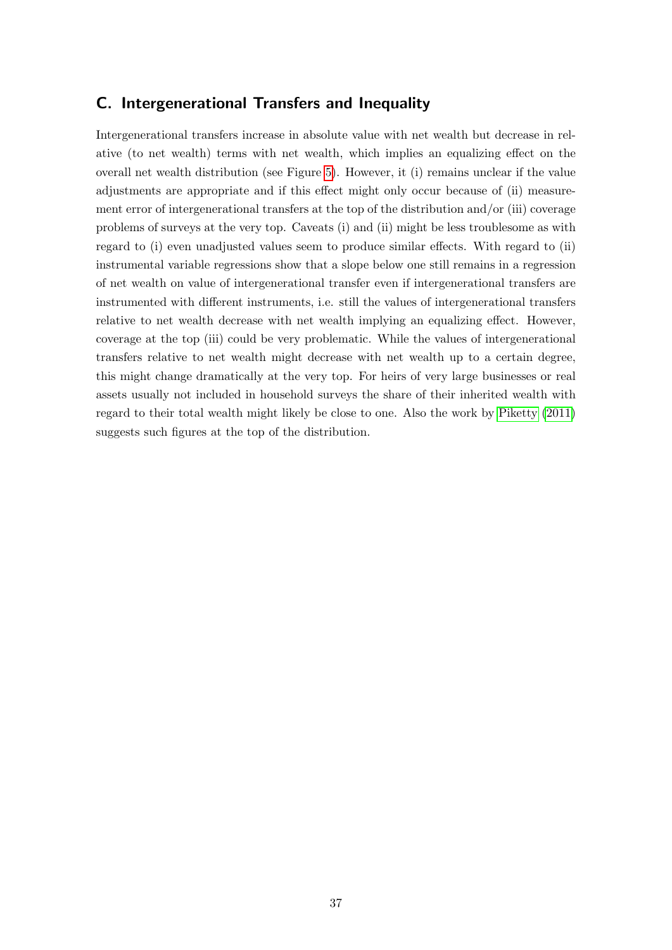## <span id="page-36-0"></span>C. Intergenerational Transfers and Inequality

Intergenerational transfers increase in absolute value with net wealth but decrease in relative (to net wealth) terms with net wealth, which implies an equalizing effect on the overall net wealth distribution (see Figure [5\)](#page-37-0). However, it (i) remains unclear if the value adjustments are appropriate and if this effect might only occur because of (ii) measurement error of intergenerational transfers at the top of the distribution and/or (iii) coverage problems of surveys at the very top. Caveats (i) and (ii) might be less troublesome as with regard to (i) even unadjusted values seem to produce similar effects. With regard to (ii) instrumental variable regressions show that a slope below one still remains in a regression of net wealth on value of intergenerational transfer even if intergenerational transfers are instrumented with different instruments, i.e. still the values of intergenerational transfers relative to net wealth decrease with net wealth implying an equalizing effect. However, coverage at the top (iii) could be very problematic. While the values of intergenerational transfers relative to net wealth might decrease with net wealth up to a certain degree, this might change dramatically at the very top. For heirs of very large businesses or real assets usually not included in household surveys the share of their inherited wealth with regard to their total wealth might likely be close to one. Also the work by [Piketty](#page-32-0) [\(2011\)](#page-32-0) suggests such figures at the top of the distribution.